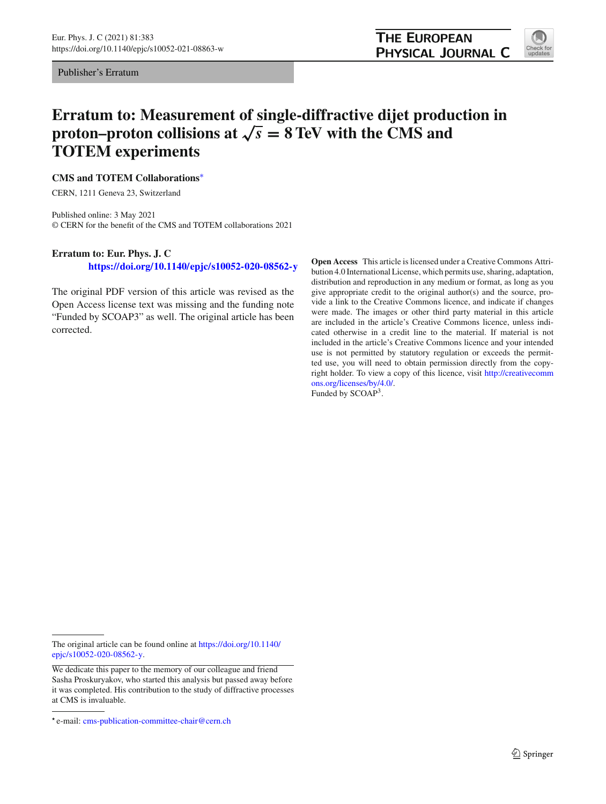Publisher's Erratum



# **Erratum to: Measurement of single-diffractive dijet production in proton–proton collisions at**  $\sqrt{s}$  = 8 TeV with the CMS and **TOTEM experiments**

#### **CMS and TOTEM Collaborations**[∗](#page-0-0)

CERN, 1211 Geneva 23, Switzerland

Published online: 3 May 2021 © CERN for the benefit of the CMS and TOTEM collaborations 2021

### **Erratum to: Eur. Phys. J. C <https://doi.org/10.1140/epjc/s10052-020-08562-y>**

The original PDF version of this article was revised as the Open Access license text was missing and the funding note "Funded by SCOAP3" as well. The original article has been corrected.

**Open Access** This article is licensed under a Creative Commons Attribution 4.0 International License, which permits use, sharing, adaptation, distribution and reproduction in any medium or format, as long as you give appropriate credit to the original author(s) and the source, provide a link to the Creative Commons licence, and indicate if changes were made. The images or other third party material in this article are included in the article's Creative Commons licence, unless indicated otherwise in a credit line to the material. If material is not included in the article's Creative Commons licence and your intended use is not permitted by statutory regulation or exceeds the permitted use, you will need to obtain permission directly from the copyright holder. To view a copy of this licence, visit [http://creativecomm](http://creativecommons.org/licenses/by/4.0/) [ons.org/licenses/by/4.0/.](http://creativecommons.org/licenses/by/4.0/) Funded by SCOAP3.

The original article can be found online at [https://doi.org/10.1140/](https://doi.org/10.1140/epjc/s10052-020-08562-y) [epjc/s10052-020-08562-y.](https://doi.org/10.1140/epjc/s10052-020-08562-y)

We dedicate this paper to the memory of our colleague and friend Sasha Proskuryakov, who started this analysis but passed away before it was completed. His contribution to the study of diffractive processes at CMS is invaluable.

<span id="page-0-0"></span><sup>-</sup> e-mail: <cms-publication-committee-chair@cern.ch>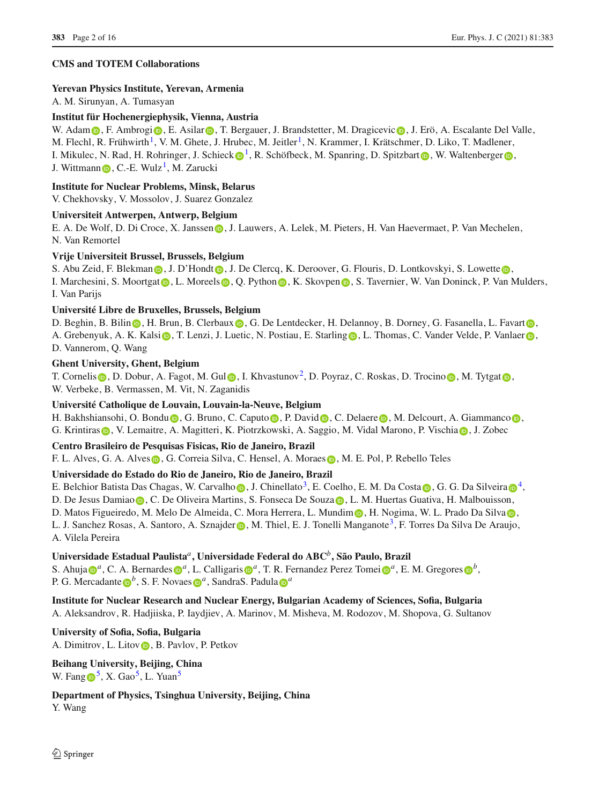### **CMS and TOTEM Collaborations**

### **Yerevan Physics Institute, Yerevan, Armenia**

A. M. Sirunyan, A. Tumasyan

### **Institut für Hochenergiephysik, Vienna, Austria**

W. Adam **D**[,](http://orcid.org/0000-0003-1967-6783) F. Ambrogi **D**, E. Asilar **D**, T. Bergauer, J. Brandstetter, M. Dragicevic **D**, J. Erö, A. Escalante Del Valle, M. Flechl, R. Frühwirth<sup>1</sup>, V. M. Ghete, J. Hrubec, M. Jeitler<sup>1</sup>, N. Krammer, I. Krätschmer, D. Liko, T. Madlener, I. Mikulec[,](http://orcid.org/0000-0002-6215-7228) N. Rad, H. Rohringer, J. Schieck  $\mathbb{D}^1$ , R. Schöfbeck, M. Spanring, D. Spitzbart  $\mathbb{D}$ , W. Waltenberger  $\mathbb{D}$ , J. Wittma[n](http://orcid.org/0000-0002-0664-3117)n  $\bigcirc$ , C.-E. Wulz<sup>1</sup>, M. Zarucki

### **Institute for Nuclear Problems, Minsk, Belarus**

V. Chekhovsky, V. Mossolov, J. Suarez Gonzalez

### **Universiteit Antwerpen, Antwerp, Belgium**

E. A. De Wolf[,](http://orcid.org/0000-0002-3998-4081) D. Di Croce, X. Janssen **D**, J. Lauwers, A. Lelek, M. Pieters, H. Van Haevermaet, P. Van Mechelen, N. Van Remortel

### **Vrije Universiteit Brussel, Brussels, Belgium**

S. Abu Zeid, F. Blekma[n](http://orcid.org/0000-0002-7366-7098)  $\circ$ [,](http://orcid.org/0000-0003-3984-9987) J. D'Hondt  $\circ$ , J. De Clercq, K. Deroover, G. Flouris, D. Lontkovskyi, S. Lowette  $\circ$ , I. Marchesini[,](http://orcid.org/0000-0002-1160-0621) S. Moortgat **(D**, L. Moreel[s](http://orcid.org/0000-0001-8216-4655) **(D**, Q. Pytho[n](http://orcid.org/0000-0001-9397-1057) **(D**, K. Skovpen **D**, S. Tavernier, W. Van Doninck, P. Van Mulders, I. Van Parijs

### **Université Libre de Bruxelles, Brussels, Belgium**

D. Beghin[,](http://orcid.org/0000-0003-1645-7454) B. Bilin  $\circledcirc$ , H. Brun, B. Clerbaux  $\circledcirc$ , G. De Lentdecker, H. Delannoy, B. Dorney, G. Fasanella, L. Favart  $\circledcirc$ , A. Grebenyuk[,](http://orcid.org/0000-0002-7931-4496) A. K. Kalsi **(b**, T. Lenzi, J. Luetic, N. Postiau, E. Starling **(b**, L. Thomas, C. Vander Velde, P. Vanlaer **(b**), D. Vannerom, Q. Wang

### **Ghent University, Ghent, Belgium**

T. Corne[l](http://orcid.org/0000-0002-5704-1896)is **(b**[,](http://orcid.org/0000-0002-3990-2074) D. D[o](http://orcid.org/0000-0002-2830-5872)bur, A. Fagot, M. Gul **[b**, I. Khvastunov<sup>2</sup>, D. Poyraz, C. Roskas, D. Trocino **[b**, M. Tytgat **[b**, W. Verbeke, B. Vermassen, M. Vit, N. Zaganidis

### **Université Catholique de Louvain, Louvain-la-Neuve, Belgium**

H. Bakhshiansohi[,](http://orcid.org/0000-0001-9640-8294) O. Bondu **(b**, G. Bruno, C. Caputo **(b**, P. David **b**, C. Delaere **b**, M. Delcourt, A. Giammanco **b**, G. Krintiras **D**[,](http://orcid.org/0000-0002-7088-8557) V. Lemaitre, A. Magitteri, K. Piotrzkowski, A. Saggio, M. Vidal Marono, P. Vischia **D**, J. Zobec

### **Centro Brasileiro de Pesquisas Fisicas, Rio de Janeiro, Brazil**

F. L. Alves[,](http://orcid.org/0000-0002-8369-1446) G. A. Alve[s](http://orcid.org/0000-0002-5157-5686) **D**, G. Correia Silva, C. Hensel, A. Moraes **D**, M. E. Pol, P. Rebello Teles

### **Universidade do Estado do Rio de Janeiro, Rio de Janeiro, Brazil**

E. Belchior Batista Das Chagas[,](http://orcid.org/0000-0002-5016-6434) W. Carvalho , J. Chinellato<sup>3</sup>, E. Coelho, E. M. Da Costa , G. G. Da Silveira  $\mathbf{D}^4$ , D. De Jesus Damia[o](http://orcid.org/0000-0002-3769-1680) **(b**[,](http://orcid.org/0000-0001-7830-0837) C. De Oliveira Martins, S. Fonseca De Souza **(b**, L. M. Huertas Guativa, H. Malbouisson, D. Matos Figueiredo, M. Melo De Al[m](http://orcid.org/0000-0001-9964-7805)eid[a](http://orcid.org/0000-0002-6590-3169), C. Mora Herrera, L. Mundim , H. Nogima, W. L. Prado Da Silva  $\odot$ , L. J. Sanchez Rosas[,](http://orcid.org/0000-0001-6998-1108) A. Santoro, A. Sznajder **(b)**, M. Thiel, E. J. Tonelli Manganote<sup>3</sup>, F. Torres Da Silva De Araujo, A. Vilela Pereira

#### **Universidade Estadual Paulista***a***, Universidade Federal do ABC***b***, São Paulo, Brazil**

S. Ahuj[a](http://orcid.org/0000-0002-9951-9448)  $\mathbf{p}^a$  $\mathbf{p}^a$  $\mathbf{p}^a$ , C. A. Bernardes  $\mathbf{p}^a$ , L. Call[i](http://orcid.org/0000-0002-1809-5226)garis  $\mathbf{p}^a$ , T. R. Fernandez Perez Tomei  $\mathbf{p}^a$ , E. M. Gregores  $\mathbf{p}^b$ , P. G. Mercadante *[b](http://orcid.org/0000-0001-8333-4302)*, S. F. Novaes *[a](http://orcid.org/0000-0003-0471-8549)*, SandraS. Padula *[a](http://orcid.org/0000-0003-3071-0559)*

### **Institute for Nuclear Research and Nuclear Energy, Bulgarian Academy of Sciences, Sofia, Bulgaria**

A. Aleksandrov, R. Hadjiiska, P. Iaydjiev, A. Marinov, M. Misheva, M. Rodozov, M. Shopova, G. Sultanov

**University of Sofia, Sofia, Bulgaria** A. Dimitrov[,](http://orcid.org/0000-0002-8511-6883) L. Litov **D**, B. Pavlov, P. Petkov

**Beihang University, Beijing, China** W. Fan[g](http://orcid.org/0000-0002-5247-3833)  $\bigcirc^5$ , X. Gao<sup>5</sup>, L. Yuan<sup>5</sup>

**Department of Physics, Tsinghua University, Beijing, China** Y. Wang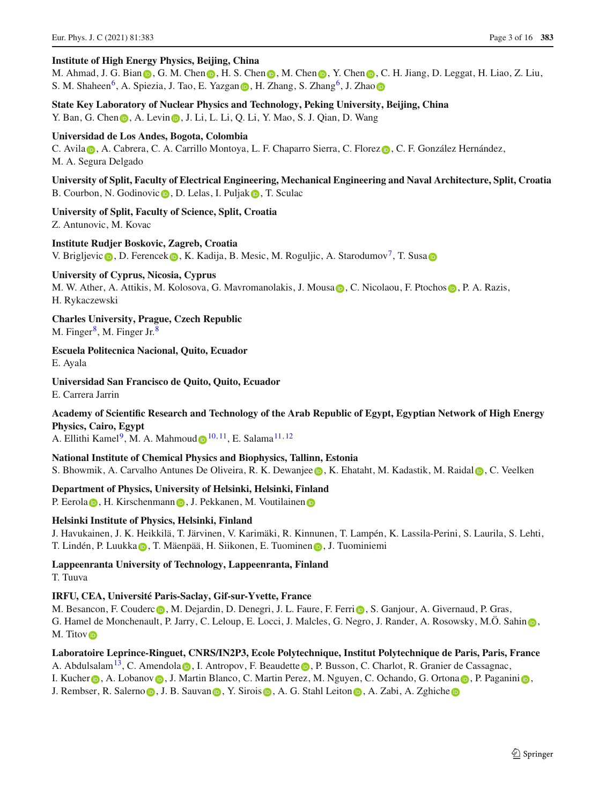#### **Institute of High Energy Physics, Beijing, China**

M. Ahmad[,](http://orcid.org/0000-0002-4799-1636) J. G. Bian **D.** G. M. Chen **D.** H. S. Chen **D.** M. Chen **D.** Y. Chen **D.** C. H. Jiang, D. Leggat, H. Liao, Z. Liu, S. M. Shahee[n](http://orcid.org/0000-0001-5732-7950)<sup>6</sup>, A. Spiezia, J. Ta[o](http://orcid.org/0000-0001-8365-7726), E. Yazgan **D**, H. Zhang, S. Zhang<sup>6</sup>, J. Zhao **D** 

**State Key Laboratory of Nuclear Physics and Technology, Peking University, Beijing, China** Y. Ban[,](http://orcid.org/0000-0001-5704-8476) G. Che[n](http://orcid.org/0000-0001-9565-4186) **D**, A. Levin **D**, J. Li, L. Li, Q. Li, Y. Mao, S. J. Qian, D. Wang

#### **Universidad de Los Andes, Bogota, Colombia**

C. Avila [,](http://orcid.org/0000-0002-3222-0249) A. Cabrera, C. A. Carrillo Montoya, L. F. Chaparro Sierra, C. Florez **(p**), C. F. González Hernández, M. A. Segura Delgado

### **University of Split, Faculty of Electrical Engineering, Mechanical Engineering and Naval Architecture, Split, Croatia** B. Courbon[,](http://orcid.org/0000-0001-7387-3812) N. Godinovic **D**, D. Lelas, I. Puljak **D**, T. Sculac

**University of Split, Faculty of Science, Split, Croatia**

Z. Antunovic, M. Kovac

**Institute Rudjer Boskovic, Zagreb, Croatia** V. Briglievic  $\bigcirc$ [,](http://orcid.org/0000-0001-9116-1202) D. Ferencek  $\bigcirc$ , K. K[a](http://orcid.org/0000-0001-7430-2552)dija, B. Mesic, M. Roguljic, A. Starodumov<sup>7</sup>, T. Susa  $\bigcirc$ 

#### **University of Cyprus, Nicosia, Cyprus**

M. W. Ather[,](http://orcid.org/0000-0002-2978-2718) A. Attiki[s](http://orcid.org/0000-0002-3432-3452), M. Kolosova, G. Mavromanolakis, J. Mousa **(b)**, C. Nicolaou, F. Ptochos **(b)**, P. A. Razis, H. Rykaczewski

**Charles University, Prague, Czech Republic** M. Finger  $\text{S}$ , M. Finger Jr. $\text{S}$ 

**Escuela Politecnica Nacional, Quito, Ecuador**

E. Ayala

**Universidad San Francisco de Quito, Quito, Ecuador**

E. Carrera Jarrin

### **Academy of Scientific Research and Technology of the Arab Republic of Egypt, Egyptian Network of High Energy Physics, Cairo, Egypt**

A. Ellithi Kamel<sup>9</sup>, M. A. Mahmoud  $\bigcirc$ <sup>[10](#page-13-9),11</sup>, E. Salama<sup>[11,](#page-13-10)[12](#page-13-11)</sup>

#### **National Institute of Chemical Physics and Biophysics, Tallinn, Estonia**

S. Bhowmik[,](http://orcid.org/0000-0001-7040-9491) A. Carvalho Antunes De Oliveira, R. K. Dewanjee **(b)**, K. Ehataht, M. Kadastik, M. Raidal **(b)**, C. Veelken

#### **Department of Physics, University of Helsinki, Helsinki, Finland**

P. Eerol[a](http://orcid.org/0000-0002-3244-0591) **D**[,](http://orcid.org/0000-0001-7369-2536) H. Kirsche[n](http://orcid.org/0000-0002-5200-6477)mann **D**, J. Pekkanen, M. Voutilainen **D** 

#### **Helsinki Institute of Physics, Helsinki, Finland**

J. Havukainen, J. K. Heikkilä, T. Järvinen, V. Karimäki, R. Kinnunen, T. Lampén, K. Lassila-Perini, S. Laurila, S. Lehti, T. Lindén[,](http://orcid.org/0000-0003-2340-4641) P. Luukka **(b.** T. Mäe[n](http://orcid.org/0000-0002-7073-7767)pää, H. Siikonen, E. Tuominen **(b.** J. Tuominiemi

**Lappeenranta University of Technology, Lappeenranta, Finland** T. Tuuva

#### **IRFU, CEA, Université Paris-Saclay, Gif-sur-Yvette, France**

M. Besancon[,](http://orcid.org/0000-0002-9860-101X) F. Couderc **(b)**, M. Dejardin, D. Denegri, J. L. Faure, F. Ferri **(b)**, S. Ganjour, A. Givernaud, P. Gras, G. Hamel de Monchenault[,](http://orcid.org/0000-0001-6402-4050) P. Jarry, C. Leloup, E. Locci, J. Malcles, G. Negro, J. Rander, A. Rosowsky, M.Ö. Sahin  $\circ$ , M. Titov<sub>o</sub>

#### **Laboratoire Leprince-Ringuet, CNRS/IN2P3, Ecole Polytechnique, Institut Polytechnique de Paris, Paris, France**

A. Abdulsalam<sup>13</sup>[,](http://orcid.org/0000-0002-1194-8556) C. Amendola **e**, I. Antropov, F. Beaudette **e**, P. Busson, C. Charlot, R. Granier de Cassagnac,

I. Kucher **(b**, A. Lobano[v](http://orcid.org/0000-0002-5376-0877) **(b**[,](http://orcid.org/0000-0001-9580-683X) J. Martin Blanco, C. Martin Perez, M. Nguyen, C. Ochando, G. Ortona **(b**, P. Paganini **(b**),

J. Rembser[,](http://orcid.org/0000-0001-5187-3571) R. Saler[n](http://orcid.org/0000-0002-5397-252X)o **D**, J. B. Sauvan **D**, Y. Sirois **D**, A. G. Stahl Leiton **D**, A. Zabi, A. Zghiche **D**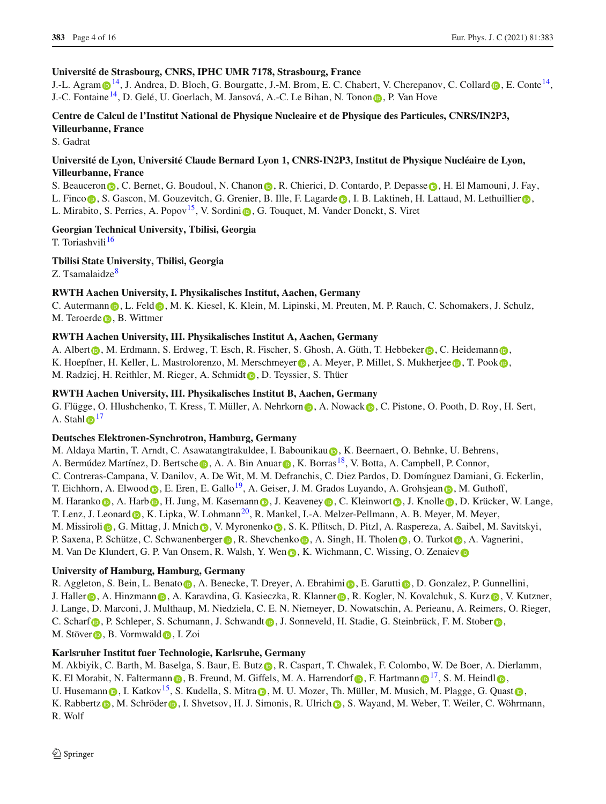#### **Université de Strasbourg, CNRS, IPHC UMR 7178, Strasbourg, France**

J.-L. Agra[m](http://orcid.org/0000-0001-7476-0158) <sup>14</sup>[,](http://orcid.org/0000-0002-5230-8387) J. Andrea, D. Bloch, G. Bourgatte, J.-M. Brom, E. C. Chabert, V. Cherepanov, C. Collard **D**, E. Conte<sup>14</sup>, J.-C. Fontaine<sup>14</sup>[,](http://orcid.org/0000-0003-4301-2688) D. Gelé, U. Goerlach, M. Jansová, A.-C. Le Bihan, N. Tonon **p.** P. Van Hove

#### **Centre de Calcul de l'Institut National de Physique Nucleaire et de Physique des Particules, CNRS/IN2P3, Villeurbanne, France**

S. Gadrat

### **Université de Lyon, Université Claude Bernard Lyon 1, CNRS-IN2P3, Institut de Physique Nucléaire de Lyon, Villeurbanne, France**

S. Beaucero[n](http://orcid.org/0000-0002-2939-5646) **O**[,](http://orcid.org/0000-0002-8036-9267) C. B[e](http://orcid.org/0000-0001-7556-2743)rnet, G. Boudoul, N. Chanon **O**, R. Chierici, D. Contardo, P. Depasse **O**, H. El Mamouni, J. Fay, L. Finco **[,](http://orcid.org/0000-0001-6185-2045) S.** Gascon, M. Gouzevitch, G. Grenier, B. Ille, F. Lagarde **, I. B.** Laktineh, H. Lattaud, M. Lethuillier  $\bullet$ , L. M[i](http://orcid.org/0000-0003-0885-824X)rabito, S. Perries, A. Popov<sup>15</sup>, V. Sordini **D**, G. Touquet, M. Vander Donckt, S. Viret

### **Georgian Technical University, Tbilisi, Georgia**

T. Toriashvili<sup>[16](#page-13-15)</sup>

### **Tbilisi State University, Tbilisi, Georgia**

Z. Tsamalaidze<sup>[8](#page-13-7)</sup>

### **RWTH Aachen University, I. Physikalisches Institut, Aachen, Germany**

C. Auterma[n](http://orcid.org/0000-0002-0057-0033)n **D**[,](http://orcid.org/0000-0001-9813-8646) L. Feld **D**, M. K. Kiesel, K. Klein, M. Lipinski, M. Preuten, M. P. Rauch, C. Schomakers, J. Schulz, M. Teroerde **D**[,](http://orcid.org/0000-0002-5892-1377) B. Wittmer

### **RWTH Aachen University, III. Physikalisches Institut A, Aachen, Germany**

A. Albert [,](http://orcid.org/0000-0002-7647-6895) M. Erdmann, S. Erdweg, T. Esch, R. Fischer, S. Ghosh, A. Güth, T. Hebbeker  $\odot$ , C. Heidemann  $\odot$ , K. Hoepfner[,](http://orcid.org/0000-0002-9635-5126) H. Keller, L. Mastrolorenzo, M. Merschmeyer  $\circledcirc$ , A. Meyer, P. Millet, S. Mukherjee  $\circledcirc$ , T. Pook  $\circledcirc$ , M. Radziej[,](http://orcid.org/0000-0003-2711-8984) H. Reithler, M. Rieger, A. Schmidt **D**, D. Teyssier, S. Thüer

### **RWTH Aachen University, III. Physikalisches Institut B, Aachen, Germany**

G. Flügge[,](http://orcid.org/0000-0002-3522-5926) O. Hlushchenko, T. Kress, T. Müller, A. Nehrkorn **(b)**, A. Nowack **(b)**, C. Pistone, O. Pooth, D. Roy, H. Sert, A. Stahl $\mathbf{D}^{17}$  $\mathbf{D}^{17}$  $\mathbf{D}^{17}$ 

#### **Deutsches Elektronen-Synchrotron, Hamburg, Germany**

M. Aldaya Martin, T. Arndt, C. Asawatangtrak[u](http://orcid.org/0000-0002-6228-4104)ldee, I. Babounikau (D, K. Beernaert, O. Behnke, U. Behrens, A. Bermúdez Martínez[,](http://orcid.org/0000-0002-2988-9830) D. Bertsche **(p**, A. A. Bin Anuar **(p**, K. Borras<sup>18</sup>, V. Botta, A. Campbell, P. Connor, C. Contreras-Campana, V. Danilov, A. De Wit, M. M. Defranchis, C. Diez Pardos, D. Domínguez Damiani, G. Eckerlin, T. Eichhorn, A. Elwoo[d](http://orcid.org/0000-0002-6706-8443)  $\bigcirc$ [,](http://orcid.org/0000-0003-0748-8494) E. Eren, E. Gallo<sup>19</sup>, A. Geiser, J. M. Grados Luyando, A. Grohsjean  $\bigcirc$ , M. Guthoff, M. Hara[n](http://orcid.org/0000-0002-0429-2448)ko **D**[,](http://orcid.org/0000-0002-4781-5704) A. Harb **D**, H. Jung, M. Kasemann **D**, J. Keaveney **D**, C. Kleinwor[t](http://orcid.org/0000-0002-9017-9504) **D**, J. Knolle **D**, D. Krücker, W. Lange, T. Lenz[,](http://orcid.org/0000-0003-1761-8221) J. Leonard **D**, K. Lipka, W. Lohmann<sup>20</sup>, R. Mankel, I.-A. Melzer-Pellmann, A. B. Meyer, M. Meyer, M. Missiroli **D**[,](http://orcid.org/0000-0002-3984-4732) G. Mittag, J. Mnic[h](http://orcid.org/0000-0001-7242-8426) **D**, V. Myronenko **D**, S. K. Pflitsch, D. Pitzl, A. Raspereza, A. Saibel, M. Savitskyi, P. Saxena[,](http://orcid.org/0000-0001-5352-7744) P. Schütze, C. Schwanenberger **(b)**, R. Shevchenko **(b)**, A. Singh, H. Tholen **(b)**, O. Turkot **(b)**, A. Vagnerini, M. Van De Klundert[,](http://orcid.org/0000-0002-8724-9604) G. P. Van Onsem, R. Walsh, Y. Wen  $\circled{B}$ , K. Wichmann, C. Wissing, O. Zenaiev  $\circled{B}$ 

#### **University of Hamburg, Hamburg, Germany**

R. Agglet[o](http://orcid.org/0000-0001-5135-7489)n[,](http://orcid.org/0000-0003-0634-5539) S. Bein, L. Benato **(b**, A. Benecke, T. Dreyer, A. Ebrahimi **(b**, E. Garutti **[b**, D. Gonzalez, P. Gunnellini, J. Haller <sub>(2</sub>)[,](http://orcid.org/0000-0002-7004-9227) A. Hin[z](http://orcid.org/0000-0002-1797-5774)mann (3), A. Karavdina, G. Kasieczka, R. Klanner (5), R. Kogler, N. Kovalchuk, S. Kurz (5), V. Kutzner, J. Lange, D. Marconi, J. Multhaup, M. Niedziela, C. E. N. Niemeyer, D. Nowatschin, A. Perieanu, A. Reimers, O. Rieger, C. Scha[r](http://orcid.org/0000-0003-2620-3159)f **D**[,](http://orcid.org/0000-0002-0052-597X) P. Schleper, S. Schumann, J. Schwandt **D**, J. Sonneveld, H. Stadie, G. Steinbrück, F. M. Stober **D**, M. Stöver **D**[,](http://orcid.org/0000-0003-2607-7287) B. Vormwald **D**, I. Zoi

#### **Karlsruher Institut fuer Technologie, Karlsruhe, Germany**

M. Akbiyik, C. Barth, M. Baselga, S. Baur, E. But[z](http://orcid.org/0000-0002-2403-5801)  $\bigcirc$ , R. Caspart, T. Chwalek, F. Colombo, W. De Boer, A. Dierlamm,

K. El Morabit[,](http://orcid.org/0000-0001-6506-3107) N. Falterma[n](http://orcid.org/0000-0001-8989-8387)n  $\circledcirc$  $\circledcirc$  $\circledcirc$ , B. Freund, M. Gi[f](http://orcid.org/0000-0003-3563-9093)fels, M. A. Harrendorf  $\circledcirc$ , F. Hartmann  $\circledcirc$ <sup>17</sup>, S. M. Heindl  $\circledcirc$ ,

U. Husem[a](http://orcid.org/0000-0002-3060-2278)nn  $\oplus$ [,](http://orcid.org/0000-0002-4021-4260) I. Katkov<sup>15</sup>, S. Kudella, S. Mitra  $\oplus$ , M. U. Mozer, Th. Müller, M. Musich, M. Plagge, G. Quast  $\oplus$ ,

K. Rabbe[r](http://orcid.org/0000-0001-8058-9828)tz **(b**[,](http://orcid.org/0000-0002-2535-402X) M. Schröder **(b**, I. Shvetsov, H. J. Simonis, R. Ulrich **(b**, S. Wayand, M. Weber, T. Weiler, C. Wöhrmann, R. Wolf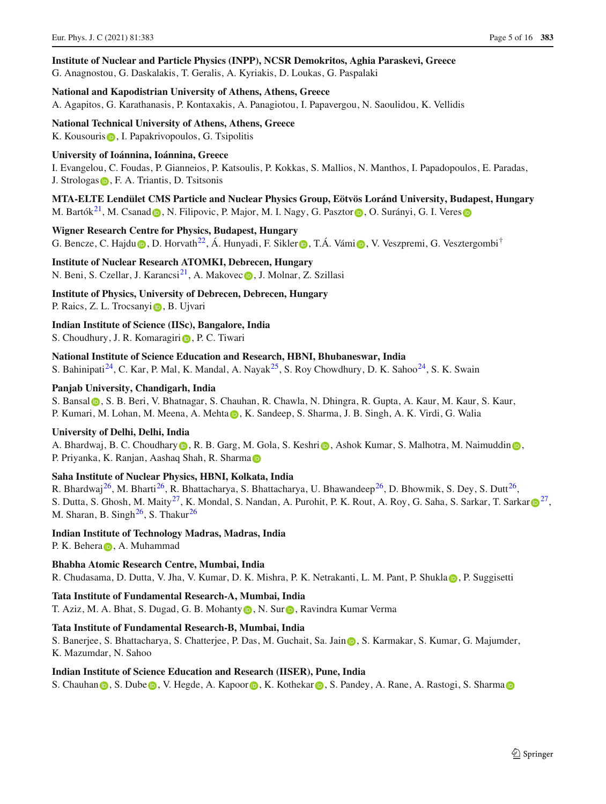### **Institute of Nuclear and Particle Physics (INPP), NCSR Demokritos, Aghia Paraskevi, Greece**

G. Anagnostou, G. Daskalakis, T. Geralis, A. Kyriakis, D. Loukas, G. Paspalaki

#### **National and Kapodistrian University of Athens, Athens, Greece**

A. Agapitos, G. Karathanasis, P. Kontaxakis, A. Panagiotou, I. Papavergou, N. Saoulidou, K. Vellidis

**National Technical University of Athens, Athens, Greece** K. Kousouris **D**[,](http://orcid.org/0000-0002-6360-0869) I. Papakrivopoulos, G. Tsipolitis

#### **University of Ioánnina, Ioánnina, Greece**

I. Evangelou, C. Foudas, P. Gianneios, P. Katsoulis, P. Kokkas, S. Mallios, N. Manthos, I. Papadopoulos, E. Paradas, J. Strologa[s](http://orcid.org/0000-0002-2225-7160) **D**, F. A. Triantis, D. Tsitsonis

**MTA-ELTE Lendület CMS Particle and Nuclear Physics Group, Eötvös Loránd University, Budapest, Hungary** M. Bartók<sup>21</sup>[,](http://orcid.org/0000-0002-3154-6925) M. C[s](http://orcid.org/0000-0002-5440-4356)anad **(b**, N. Filipovic, P. Majo[r](http://orcid.org/0000-0003-0707-9762), M. I. Nagy, G. Pasztor **(b**, O. Surányi, G. I. Veres **(b**)

**Wigner Research Centre for Physics, Budapest, Hungary**

G. Bencze[,](http://orcid.org/0000-0001-9608-3901) C. Hajdu $\bigcirc$  $\bigcirc$  $\bigcirc$ , D. Horvath<sup>22</sup>, Á. Hunyadi, F. Sikler $\bigcirc$ , T.Á. Vámi $\bigcirc$ , V. Veszpremi, G. Vesztergombi<sup>†</sup>

**Institute of Nuclear Research ATOMKI, Debrecen, Hungary** N. Beni[,](http://orcid.org/0000-0002-8615-7492) S. Czellar, J. Karancsi<sup>21</sup>, A. Makovec **D**. J. Molnar, Z. Szillasi

**Institute of Physics, University of Debrecen, Debrecen, Hungary** P. Raics[,](http://orcid.org/0000-0002-2129-1279) Z. L. Trocsanyi<sub>D</sub>, B. Ujvari

**Indian Institute of Science (IISc), Bangalore, India** S. Choudhury[,](http://orcid.org/0000-0002-9344-6655) J. R. Komaragiri **D**, P. C. Tiwari

**National Institute of Science Education and Research, HBNI, Bhubaneswar, India**

S. Bahinipati<sup>24</sup>, C. Kar, P. Mal, K. Mandal, A. Nayak<sup>25</sup>, S. Roy Chowdhury, D. K. Sahoo<sup>24</sup>, S. K. Swain

### **Panjab University, Chandigarh, India**

S. Bansal **D**[,](http://orcid.org/0000-0003-1992-0336) S. B. Beri, V. Bhatnagar, S. Chauhan, R. Chawla, N. Dhingra, R. Gupta, A. Kaur, M. Kaur, S. Kaur, P. Kumari[,](http://orcid.org/0000-0002-0433-4484) M. Lohan, M. Meena, A. Mehta , K. Sandeep, S. Sharma, J. B. Singh, A. K. Virdi, G. Walia

#### **University of Delhi, Delhi, India**

A. Bhardwaj[,](http://orcid.org/0000-0001-5029-1887) B. C. Choudhary **(b)**, R. B. Garg, M. Gola, S. Keshr[i](http://orcid.org/0000-0003-3280-2350) **(b)**, Ashok Kumar, S. Malhotra, M. Naimuddi[n](http://orcid.org/0000-0003-4542-386X) **(b)**, P. Priyanka, K. Ranjan, Aashaq Shah, R. Sharm[a](http://orcid.org/0000-0003-1181-1426)

### **Saha Institute of Nuclear Physics, HBNI, Kolkata, India**

R. Bhardwaj<sup>26</sup>, M. Bharti<sup>26</sup>, R. Bhattacharya, S. Bhattacharya, U. Bhawandeep<sup>26</sup>, D. Bhowmik, S. Dey, S. Dutt<sup>26</sup>, S. Dutta, S. Ghosh, M. Maity<sup>27</sup>, K. Mondal, S. Nandan, A. Purohit, P. K. Rout, A. Roy, G. Saha, S. Sarkar, T. Sarkar <sup>27</sup>, M. Sharan, B. Singh<sup>26</sup>, S. Thakur<sup>26</sup>

**Indian Institute of Technology Madras, Madras, India**

P. K. Behera **D**[,](http://orcid.org/0000-0002-1527-2266) A. Muhammad

**Bhabha Atomic Research Centre, Mumbai, India** R. Chudasama[,](http://orcid.org/0000-0001-8118-5331) D. Dutta, V. Jha, V. Kumar, D. K. Mishra, P. K. Netrakanti, L. M. Pant, P. Shukla **D.** P. Suggisetti

**Tata Institute of Fundamental Research-A, Mumbai, India** T. Aziz[,](http://orcid.org/0000-0001-5233-553X) M. A. Bhat, S. Dugad, G. B. Mohanty **D**, N. Sur **D**, Ravindra Kumar Verma

### **Tata Institute of Fundamental Research-B, Mumbai, India**

S. Banerjee[,](http://orcid.org/0000-0001-5078-3689) S. Bhattacharya, S. Chatterjee, P. Das, M. Guchait, Sa. Jain  $\circled{P}$ , S. Karmakar, S. Kumar, G. Majumder, K. Mazumdar, N. Sahoo

#### **Indian Institute of Science Education and Research (IISER), Pune, India**

S. Ch[a](http://orcid.org/0000-0001-6886-0726)uhan **D**[,](http://orcid.org/0000-0001-5102-4326) S. Dube **D**, V. Hegde, A. Kapoo[r](http://orcid.org/0000-0002-1844-1504) **D**, K. Kothekar **D**, S. Pandey, A. Rane, A. Rastogi, S. Sharma **D**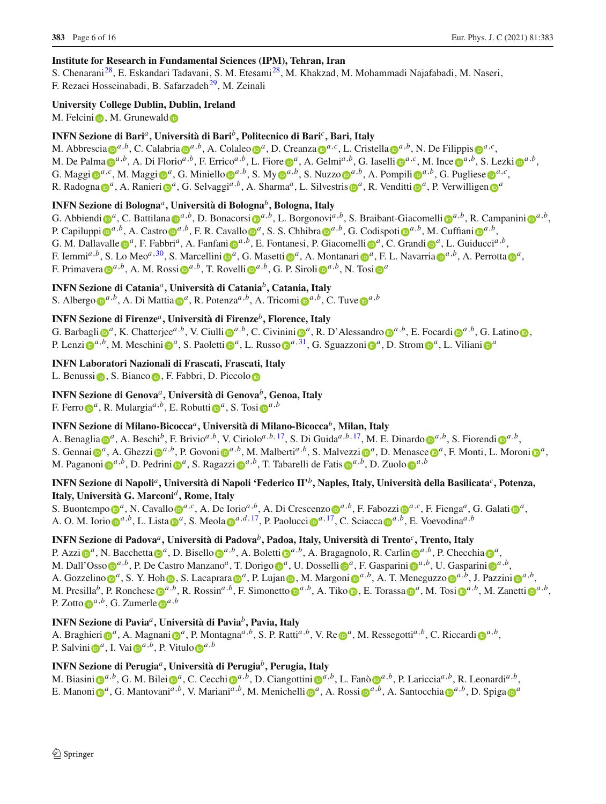### **Institute for Research in Fundamental Sciences (IPM), Tehran, Iran**

S. Chenarani<sup>28</sup>, E. Eskandari Tadavani, S. M. Etesami<sup>28</sup>, M. Khakzad, M. Mohammadi Najafabadi, M. Naseri, F. Rezaei Hosseinabadi, B. Safarzadeh<sup>29</sup>, M. Zeinali

# **University College Dublin, Dublin, Ireland**

M. Felcini  $\mathbf{D}$ [,](http://orcid.org/0000-0002-2051-9331) M. Grunewald  $\mathbf{D}$ 

# **INFN Sezione di Bari***a***, Università di Bari***b***, Politecnico di Bari***c***, Bari, Italy**

M. Abbresci[a](http://orcid.org/0000-0002-0625-6811)  $\mathbf{D}^{a,b}$ , C. Calabria  $\mathbf{D}^{a,b}$ , A. Colaleo  $\mathbf{D}^{a}$ , D. Creanza  $\mathbf{D}^{a,c}$ , L. Cristella  $\mathbf{D}^{a,b}$ , N. De Filippis  $\mathbf{D}^{a,c}$ , M. De P[a](http://orcid.org/0000-0002-6909-774X)lma  $\mathbf{a}^{a,b}$ , A. Di Florio<sup>*a*,*b*</sup>, F. Errico<sup>*a*,*b*</sup>, L. Fiore  $\mathbf{a}^{a}$ , A. Gelmi<sup>*a*,*b*</sup>, G. Iaselli  $\mathbf{a}^{a,c}$ , M. Ince  $\mathbf{a}^{a,b}$ , S. Lezki  $\mathbf{a}^{a,b}$ , G. M[a](http://orcid.org/0000-0001-5460-2638)ggi  $\mathbf{D}^{a,c}$ , M. Maggi  $\mathbf{D}^{a}$ , G. Miniello  $\mathbf{D}^{a,b}$ , S. My  $\mathbf{D}^{a,b}$ , S. Nuzzo  $\mathbf{D}^{a,b}$ , A. Pompili  $\mathbf{D}^{a,b}$ , G. Pugliese  $\mathbf{D}^{a,c}$ , R. R[a](http://orcid.org/0000-0002-9285-8631)dogna  $\mathbf{p}^a$ , A. Ranieri  $\mathbf{p}^a$ , G. Selvaggi<sup>a,b</sup>, A. Sharma<sup>a</sup>, L. Silvestris  $\mathbf{p}^a$ , R. Venditti  $\mathbf{p}^a$ , P. Verwilligen  $\mathbf{p}^a$ 

# **INFN Sezione di Bologna***a***, Università di Bologna***b***, Bologna, Italy**

G. Abb[i](http://orcid.org/0000-0003-2419-7971)endi  $\mathbf{D}^a$  $\mathbf{D}^a$  $\mathbf{D}^a$ , C. Battilana  $\mathbf{D}^{a,b}$ , D. Bonacorsi  $\mathbf{D}^{a,b}$ , L. Borgonovi<sup>*a*,*b*</sup>, S. Braibant-Giacomelli  $\mathbf{D}^{a,b}$ , R. Campanini  $\mathbf{D}^{a,b}$ , P. C[a](http://orcid.org/0000-0003-2510-5039)piluppi  $\mathbb{R}^{a,b}$ , A. Castr[o](http://orcid.org/0000-0003-2527-0456)  $\mathbb{R}^{a,b}$ , F. R. Cavallo  $\mathbb{R}^a$ , S. S. Chhibra  $\mathbb{R}^{a,b}$ , G. Codispoti  $\mathbb{R}^{a,b}$ , M. Cuffiani  $\mathbb{R}^{a,b}$ , G. M. D[a](http://orcid.org/0000-0001-5998-3070)llavalle  $\mathbf{D}^a$ , F. Fabbri<sup>a</sup>, A. Fanfani  $\mathbf{D}^{a,b}$ , E. Fontanesi, P. Giacomelli  $\mathbf{D}^a$ , C. Grandi  $\mathbf{D}^a$ , L. Guiducci<sup>a, b</sup>, F. Iemmi<sup>[a](http://orcid.org/0000-0002-7996-7139),b</sup>, S. Lo Meo<sup>a,30</sup>, S. Marcellini  $\mathbb{D}^a$ , G. Masetti  $\mathbb{D}^a$ , A. Montanari  $\mathbb{D}^a$ , F. L. Navarria  $\mathbb{D}^{a,b}$ , A. Perrotta  $\mathbb{D}^a$ , F. Prim[a](http://orcid.org/0000-0002-0474-0247)vera  $\mathbf{D}^{a,b}$ , A. M. Rossi  $\mathbf{D}^{a,b}$ , T. Rovelli  $\mathbf{D}^{a,b}$ , G. P. Siroli  $\mathbf{D}^{a,b}$ , N. Tosi  $\mathbf{D}^{a}$ 

# **INFN Sezione di Catania***a***, Università di Catania***b***, Catania, Italy**

S. Albergo  $\mathbf{D}^{a,b}$  $\mathbf{D}^{a,b}$  $\mathbf{D}^{a,b}$ , A. D[i](http://orcid.org/0000-0002-5071-5501) Mattia  $\mathbf{D}^{a}$ , R. Potenza<sup>*a*,*b*</sup>, A. Tricomi  $\mathbf{D}^{a,b}$ , C. Tuve  $\mathbf{D}^{a,b}$ 

# **INFN Sezione di Firenze***a***, Università di Firenze***b***, Florence, Italy**

G. B[a](http://orcid.org/0000-0001-7997-0306)rbagl[i](http://orcid.org/0000-0002-3763-5267)  $\mathbb{D}^a$ [,](http://orcid.org/0000-0002-4098-3502) K. Chatterjee<sup>*a*,*b*</sup>, V. Ciulli  $\mathbb{D}^{a,b}$ , C. Civinini  $\mathbb{D}^a$ , R. D'Alessandro  $\mathbb{D}^{a,b}$ , E. Focardi  $\mathbb{D}^{a,b}$ , G. Latino  $\mathbb{D}$ , P. Lenzi  $\mathbb{D}^{a,b}$  $\mathbb{D}^{a,b}$  $\mathbb{D}^{a,b}$ , M. Meschini  $\mathbb{D}^{a}$ , S. Paoletti  $\mathbb{D}^{a}$ , L. Russo  $\mathbb{D}^{a,31}$ , G. Sguazzoni  $\mathbb{D}^{a}$ , D. Strom  $\mathbb{D}^{a}$ , L. Viliani  $\mathbb{D}^{a}$ 

# **INFN Laboratori Nazionali di Frascati, Frascati, Italy**

L. Benussi<sub>(D</sub>[,](http://orcid.org/0000-0002-8300-4124) S. Bianc[o](http://orcid.org/0000-0001-5404-543X) <sub>D</sub>, F. Fabbri, D. Piccolo D

# **INFN Sezione di Genova***a***, Università di Genova***b***, Genoa, Italy**

F. Ferro  $\mathbf{D}^{a}$  $\mathbf{D}^{a}$  $\mathbf{D}^{a}$ , R. Mulargia<sup>*a*,*b*</sup>, E. Robutti  $\mathbf{D}^{a}$ , S. Tosi  $\mathbf{D}^{a,b}$ 

# **INFN Sezione di Milano-Bicocca***a***, Università di Milano-Bicocca***b***, Milan, Italy**

A. Ben[a](http://orcid.org/0000-0003-3273-9419)glia  $\mathbb{D}^a$ , A. Beschi<sup>b</sup>, F. Brivio<sup>*a*,*b*</sup>, V. Ciriolo<sup>*a*,*b*, 17</sup>, S. Di Guida<sup>*a*,*b*, 17</sup>, M. E. Dinardo  $\mathbb{D}^{a,b}$ , S. Fiorendi  $\mathbb{D}^{a,b}$ , S. Genn[a](http://orcid.org/0000-0002-8387-762X)i  $\mathbf{p}^a$ , A. Ghezzi  $\mathbf{p}^{a,b}$ , P. Govoni  $\mathbf{p}^{a,b}$ , M. Malberti<sup>a,b</sup>, S. Malvezzi  $\mathbf{p}^a$ , D. Menasce  $\mathbf{p}^a$ , F. Monti, L. Moroni  $\mathbf{p}^a$ , M. P[a](http://orcid.org/0000-0003-3072-1020)ganon[i](http://orcid.org/0000-0001-8219-2074)  $\mathbf{D}^{a,b}$ , D. Pedrini  $\mathbf{D}^{a}$ , S. Ragazzi  $\mathbf{D}^{a,b}$ , T. Tabarelli de Fatis  $\mathbf{D}^{a,b}$ , D. Zuolo  $\mathbf{D}^{a,b}$ 

### **INFN Sezione di Napoli***a***, Università di Napoli 'Federico II'***b***, Naples, Italy, Università della Basilicata***c***, Potenza, Italy, Università G. Marconi***<sup>d</sup>* **, Rome, Italy**

S. Buontempo  $\mathbf{D}^a$  $\mathbf{D}^a$  $\mathbf{D}^a$ , N. Cavallo  $\mathbf{D}^{a,c}$ , A. De Ior[i](http://orcid.org/0000-0001-9821-4151)o<sup>*a*,*b*</sup>, A. Di Crescenzo  $\mathbf{D}^{a,b}$ , F. Fabozzi  $\mathbf{D}^{a,c}$ , F. Fienga<sup>*a*</sup>, G. Galati  $\mathbf{D}^a$ , A. O. M. Iorio  $\mathbf{D}^{a,b}$  $\mathbf{D}^{a,b}$  $\mathbf{D}^{a,b}$ , L. Lista  $\mathbf{D}^{a}$ , S. Meola  $\mathbf{D}^{a,d,17}$ , P. Paolucci  $\mathbf{D}^{a,17}$ , C. Sciacca  $\mathbf{D}^{a,b}$ , E. Voevodina<sup>*a*,*b*</sup>

# **INFN Sezione di Padova***a***, Università di Padova***b***, Padoa, Italy, Università di Trento***c***, Trento, Italy**

P. Azzi  $\mathbf{D}^a$  $\mathbf{D}^a$  $\mathbf{D}^a$ , N. Bacchetta  $\mathbf{D}^a$ , D. Bisello  $\mathbf{D}^{a,b}$ , A. Boletti  $\mathbf{D}^{a,b}$ , A. Bragagnolo, R. Carlin  $\mathbf{D}^{a,b}$ , P. Checchia  $\mathbf{D}^a$ , M. D[a](http://orcid.org/0000-0002-7253-2669)ll'Osso  $\mathbf{D}^{a,b}$ , P. De Castro Manzano<sup>a</sup>, T. Dorigo  $\mathbf{D}^{a}$ , U. Dosselli  $\mathbf{D}^{a}$ , F. Gasparini  $\mathbf{D}^{a,b}$ , U. Gasparini  $\mathbf{D}^{a,b}$ , A. Gozzeli[n](http://orcid.org/0000-0001-9284-4574)o  $\mathbf{P}^a$  $\mathbf{P}^a$  $\mathbf{P}^a$  $\mathbf{P}^a$  $\mathbf{P}^a$ , S. Y. Hoh  $\mathbf{D}$ , S. Lacaprara  $\mathbf{P}^a$ , P. Lujan  $\mathbf{D}$ , M. Margoni  $\mathbf{P}^{a,b}$ , A. T. Meneguzzo  $\mathbf{P}^{a,b}$ , J. Pazzini  $\mathbf{P}^{a,b}$ , M. Presill[a](http://orcid.org/0000-0003-4281-4582)<sup>b</sup>[,](http://orcid.org/0000-0002-5428-7743) P. Ronchese  $\mathbb{D}^{a,b}$ , R. Rossin<sup>a,b</sup>, F. Simonetto  $\mathbb{D}^{a,b}$ , A. Tiko  $\mathbb{D}$ , E. Torassa  $\mathbb{D}^{a}$ , M. Tosi  $\mathbb{D}^{a,b}$ , M. Zanetti  $\mathbb{D}^{a,b}$ , P. Zotto  $\mathbf{p}^{a,b}$  $\mathbf{p}^{a,b}$  $\mathbf{p}^{a,b}$ , G. Zumerle  $\mathbf{p}^{a,b}$ 

# **INFN Sezione di Pavia***a***, Università di Pavia***b***, Pavia, Italy**

A. Br[a](http://orcid.org/0000-0003-0165-3962)ghieri  $\mathbf{p}^a$ , A. Magnani  $\mathbf{p}^a$ , P. Montagna<sup>*a,b*</sup>, S. P. Ratti<sup>*a,b*</sup>, V. Re  $\mathbf{p}^a$ , M. Ressegotti<sup>*a,b*</sup>, C. Riccardi  $\mathbf{p}^{a,b}$ , P. S[a](http://orcid.org/0000-0001-9247-7778)lvini  $\mathbb{R}^a$ , I. Vai  $\mathbb{R}^{a,b}$ , P. Vitulo  $\mathbb{R}^{a,b}$ 

# **INFN Sezione di Perugia***a***, Università di Perugia***b***, Perugia, Italy**

M. Bi[a](http://orcid.org/0000-0002-9007-629X)sini  $\mathbf{D}^{a,b}$ , G. M. Bilei  $\mathbf{D}^{a}$ , C. Cecchi  $\mathbf{D}^{a,b}$ , D. Ciangottini  $\mathbf{D}^{a,b}$ , L. Fanò  $\mathbf{D}^{a,b}$ , P. Lariccia<sup>*a,b*</sup>, R. Leonardi<sup>*a,b*</sup>, E. M[a](http://orcid.org/0000-0002-2991-6384)noni  $\bigcirc^{a}$ , G. Mantovani<sup>a,*b*</sup>, V. Mariani<sup>a,*b*</sup>, M. Menichelli  $\bigcirc^{a}$ , A. Rossi  $\bigcirc^{a,b}$ , A. Santocchia  $\bigcirc^{a,b}$ , D. Spiga  $\bigcirc^{a}$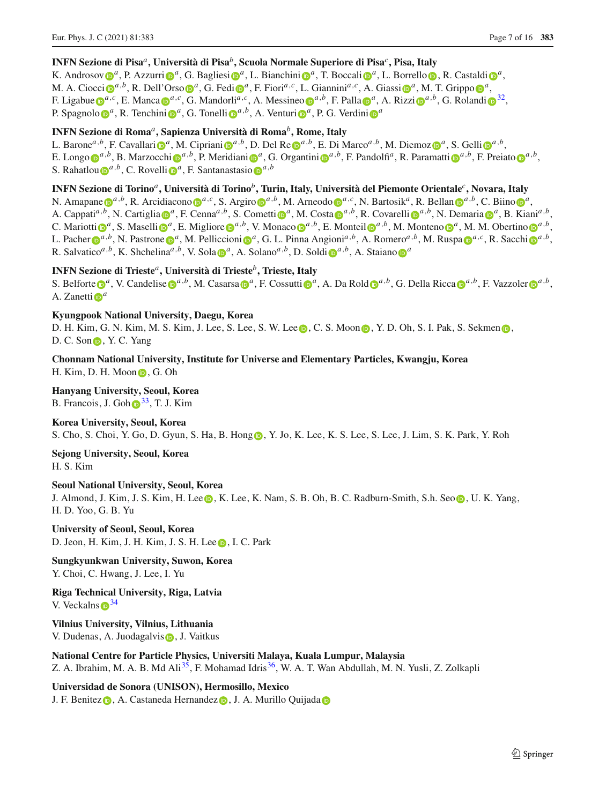### **INFN Sezione di Pisa***a***, Università di Pisa***b***, Scuola Normale Superiore di Pisa***c***, Pisa, Italy**

K. Androsov  $\mathbf{Q}^a$  $\mathbf{Q}^a$  $\mathbf{Q}^a$ [,](http://orcid.org/0000-0001-6801-7966) P. Azzurri  $\mathbf{Q}^a$ , G. Bagliesi  $\mathbf{Q}^a$ , L. Bianchini  $\mathbf{Q}^a$ , T. Boccali  $\mathbf{Q}^a$ , L. Borrello  $\mathbf{Q}$ , R. Castaldi  $\mathbf{Q}^a$ , M. A. Ciocci  $\mathbf{P}^{a,b}$  $\mathbf{P}^{a,b}$  $\mathbf{P}^{a,b}$ , R. Dell'Orso  $\mathbf{P}^{a}$ , G. Fedi  $\mathbf{P}^{a}$ , F. Fiori<sup>a, c</sup>, L. Giannini<sup>a, c</sup>, A. Giassi  $\mathbf{P}^{a}$ , M. T. Grippo  $\mathbf{P}^{a}$ , F. Lig[a](http://orcid.org/0000-0002-4543-2718)bue  $\mathbf{p}^{a,c}$ , E. Manca  $\mathbf{p}^{a,c}$ , G. Mandorl[i](http://orcid.org/0000-0002-0635-274X)<sup>a,c</sup>, A. Messineo  $\mathbf{p}^{a,b}$ , F. Palla  $\mathbf{p}^{a}$ , A. Rizzi  $\mathbf{p}^{a,b}$ , G. Rolandi  $\mathbf{p}^{32}$ , P. Sp[a](http://orcid.org/0000-0002-0042-9507)gnolo  $\mathbf{D}^a$ , R. Tenchini  $\mathbf{D}^a$ , G. Tonelli  $\mathbf{D}^{a,b}$ , A. Venturi  $\mathbf{D}^a$ , P. G. Verdini  $\mathbf{D}^a$ 

### **INFN Sezione di Roma***a***, Sapienza Università di Roma***b***, Rome, Italy**

L. B[a](http://orcid.org/0000-0003-0130-5677)rone<sup>*a*,*b*</sup>, F. Cavallari  $\mathbf{D}^a$ , M. Cipriani  $\mathbf{D}^{a,b}$ , D. Del Re  $\mathbf{D}^{a,b}$ , E. Di Marco<sup>*a*,*b*</sup>, M. Diemoz  $\mathbf{D}^a$ , S. Gelli  $\mathbf{D}^{a,b}$ ,

E. Longo  $\mathbb{D}^{a,b}$  $\mathbb{D}^{a,b}$  $\mathbb{D}^{a,b}$ , B. Marzocch[i](http://orcid.org/0000-0002-0080-9550)  $\mathbb{D}^{a,b}$ , P. Meridiani  $\mathbb{D}^{a}$ , G. Organtini  $\mathbb{D}^{a,b}$ , F. Pandolfi<sup>a</sup>, R. Paramatti  $\mathbb{D}^{a,b}$ , F. Preiato  $\mathbb{D}^{a,b}$ ,

S. R[a](http://orcid.org/0000-0003-2505-8359)hatlou  $\mathbf{D}^{a,b}$ , C. Rovelli  $\mathbf{D}^{a}$ , F. Santanastasio  $\mathbf{D}^{a,b}$ 

### **INFN Sezione di Torino***a***, Università di Torino***b***, Turin, Italy, Università del Piemonte Orientale***c***, Novara, Italy**

N. Amapan[e](http://orcid.org/0000-0001-9449-2509)  $\mathbf{D}^{a,b}$  $\mathbf{D}^{a,b}$  $\mathbf{D}^{a,b}$ , R. Arcidiacono  $\mathbf{D}^{a,c}$ , S. Argiro  $\mathbf{D}^{a,b}$ , M. Arneodo  $\mathbf{D}^{a,c}$ , N. Bartosik<sup>a</sup>, R. Bellan  $\mathbf{D}^{a,b}$ , C. Biino  $\mathbf{D}^{a}$ , A. C[a](http://orcid.org/0000-0003-0743-9465)ppati<sup>a,*b*</sup>, N. Cartiglia  $\mathbb{D}^a$ , F. Cenna<sup>a,*b*</sup>, S. Cometti  $\mathbb{D}^a$ , M. Costa  $\mathbb{D}^{a,b}$ , R. Covarelli  $\mathbb{D}^{a,b}$ , N. Demaria  $\mathbb{D}^a$ , B. Kiani<sup>a,*b*</sup>, C. M[a](http://orcid.org/0000-0002-8781-8192)ri[o](http://orcid.org/0000-0002-3521-6333)tti  $\mathbf{D}^a$ , S. Maselli  $\mathbf{D}^a$ , E. Migliore  $\mathbf{D}^{a,b}$ , V. Monaco  $\mathbf{D}^{a,b}$ , E. Monteil  $\mathbf{D}^{a,b}$ , M. Monteno  $\mathbf{D}^a$ , M. M. Obertino  $\mathbf{D}^{a,b}$ , L. P[a](http://orcid.org/0000-0001-7794-0170)cher  $\mathbf{D}^{a,b}$ , N. Pastrone  $\mathbf{D}^{a}$ , M. Pelliccioni  $\mathbf{D}^{a}$ , G. L. Pinna Angioni<sup>a,*b*</sup>, A. Romero<sup>a,*b*</sup>, M. Ruspa  $\mathbf{D}^{a,c}$ , R. Sacchi  $\mathbf{D}^{a,b}$ , R. S[a](http://orcid.org/0000-0001-9059-4831)lvatic[o](http://orcid.org/0000-0003-1803-624X)<sup>*a*,*b*</sup>, K. Shchelina<sup>*a*,*b*</sup>, V. Sola  $\mathbb{D}^a$ , A. Solano<sup>*a*,*b*</sup>, D. Soldi  $\mathbb{D}^{a,b}$ , A. Staiano  $\mathbb{D}^a$ 

# **INFN Sezione di Trieste***a***, Università di Trieste***b***, Trieste, Italy**

S. Belforte  $\mathbf{D}^{a}$  $\mathbf{D}^{a}$  $\mathbf{D}^{a}$ , V. Candelise  $\mathbf{D}^{a,b}$ , M. Casarsa  $\mathbf{D}^{a}$ , F. Cossutti  $\mathbf{D}^{a}$ , A. Da Rold  $\mathbf{D}^{a,b}$ , G. Della Ricca  $\mathbf{D}^{a,b}$ , F. Vazzoler  $\mathbf{D}^{a,b}$ , A. Zanett[i](http://orcid.org/0000-0003-4329-8727) *<sup>a</sup>*

**Kyungpook National University, Daegu, Korea**

D. H. Kim[,](http://orcid.org/0000-0003-1726-5681) G. N. Kim, M. S. Kim, J. Lee, S. Lee, S. W. Lee  $\circled{O}$ , C. S. Moon  $\circled{O}$ , Y. D. Oh, S. I. Pak, S. Sekmen  $\circled{O}$ , D. C. So[n](http://orcid.org/0000-0001-5774-229X) D. Y. C. Yang

**Chonnam National University, Institute for Universe and Elementary Particles, Kwangju, Korea** H. Kim[,](http://orcid.org/0000-0002-5628-9187) D. H. Moon  $\bigcirc$ , G. Oh

**Hanyang University, Seoul, Korea** B. Francois, J. Go[h](http://orcid.org/0000-0002-1129-2083)  $\mathbb{R}^{33}$ , T. J. Kim

**Korea University, Seoul, Korea** S. Cho[,](http://orcid.org/0000-0002-2259-9929) S. Choi, Y. Go, D. Gyun, S. Ha, B. Hong  $\circledbullet$ , Y. Jo, K. Lee, K. S. Lee, S. Lee, J. Lim, S. K. Park, Y. Roh

**Sejong University, Seoul, Korea** H. S. Kim

**Seoul National University, Seoul, Korea** J. Almond[,](http://orcid.org/0000-0002-1496-624X) J. Kim, J. S. Kim, H. Lee  $\bullet$ , K. Lee, K. Nam, S. B. Oh, B. C. Radburn-Smith, S.h. Seo  $\bullet$ , U. K. Yang, H. D. Yoo, G. B. Yu

**University of Seoul, Seoul, Korea** D. Jeon[,](http://orcid.org/0000-0002-2153-1519) H. Kim, J. H. Kim, J. S. H. Lee  $\Box$ , I. C. Park

**Sungkyunkwan University, Suwon, Korea** Y. Choi, C. Hwang, J. Lee, I. Yu

**Riga Technical University, Riga, Latvia** V. Veckalns  $\mathbb{R}^{34}$  $\mathbb{R}^{34}$  $\mathbb{R}^{34}$ 

**Vilnius University, Vilnius, Lithuania** V. Dudena[s](http://orcid.org/0000-0002-1501-3328), A. Juodagalvis **D**, J. Vaitkus

**National Centre for Particle Physics, Universiti Malaya, Kuala Lumpur, Malaysia** Z. A. Ibrahim, M. A. B. Md Ali<sup>35</sup>, F. Mohamad Idris<sup>36</sup>, W. A. T. Wan Abdullah, M. N. Yusli, Z. Zolkapli

**Universidad de Sonora (UNISON), Hermosillo, Mexico** J. F. Benite[z](http://orcid.org/0000-0003-4766-1546) **D**[,](http://orcid.org/0000-0002-2633-6712) A. C[a](http://orcid.org/0000-0003-4933-2092)staneda Hernandez **D**, J. A. Murillo Quijada **D**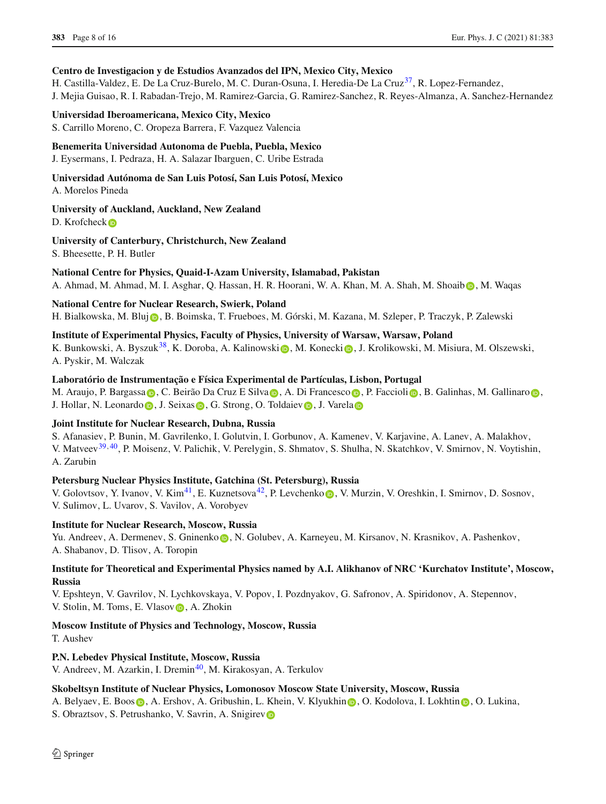### **Centro de Investigacion y de Estudios Avanzados del IPN, Mexico City, Mexico**

H. Castilla-Valdez, E. De La Cruz-Burelo, M. C. Duran-Osuna, I. Heredia-De La Cruz<sup>37</sup>, R. Lopez-Fernandez, J. Mejia Guisao, R. I. Rabadan-Trejo, M. Ramirez-Garcia, G. Ramirez-Sanchez, R. Reyes-Almanza, A. Sanchez-Hernandez

### **Universidad Iberoamericana, Mexico City, Mexico**

S. Carrillo Moreno, C. Oropeza Barrera, F. Vazquez Valencia

**Benemerita Universidad Autonoma de Puebla, Puebla, Mexico**

J. Eysermans, I. Pedraza, H. A. Salazar Ibarguen, C. Uribe Estrada

# **Universidad Autónoma de San Luis Potosí, San Luis Potosí, Mexico**

A. Morelos Pineda

### **University of Auckland, Auckland, New Zealand**

D. Krofchec[k](http://orcid.org/0000-0001-5494-7302)<sub>D</sub>

### **University of Canterbury, Christchurch, New Zealand**

S. Bheesette, P. H. Butler

#### **National Centre for Physics, Quaid-I-Azam University, Islamabad, Pakistan** A. Ahmad[,](http://orcid.org/0000-0001-6791-8252) M. Ahmad, M. I. Asghar, Q. Hassan, H. R. Hoorani, W. A. Khan, M. A. Shah, M. Shoaib **(b)**, M. Waqas

**National Centre for Nuclear Research, Swierk, Poland**

H. Bialkowska, M. Blu[j](http://orcid.org/0000-0003-1229-1442) **, B.** Boimska, T. Frueboes, M. Górski, M. Kazana, M. Szleper, P. Traczyk, P. Zalewski

### **Institute of Experimental Physics, Faculty of Physics, University of Warsaw, Warsaw, Poland**

K. Bunkowski[,](http://orcid.org/0000-0002-1280-5493) A. Byszuk<sup>38</sup>, K. Doroba, A. Kal[i](http://orcid.org/0000-0001-9482-4841)nowski **D.** M. Konecki **D.** J. Krolikowski, M. Misiura, M. Olszewski, A. Pyskir, M. Walczak

### **Laboratório de Instrumentação e Física Experimental de Partículas, Lisbon, Portugal**

M. Araujo[,](http://orcid.org/0000-0003-1261-2277) P. Bargassa **(b**, C. Be[i](http://orcid.org/0000-0003-1849-6692)rão Da Cruz E Silva **(b**, A. Di Francesco **(b**, P. Faccioli **b**, B. Galinhas, M. Gallinaro **(b**), J. Hollar[,](http://orcid.org/0000-0002-8286-8780) N. Leonardo **D**, J. Seixas **D**, G. Strong, O. Toldaiev **D**, J. Varela **D** 

### **Joint Institute for Nuclear Research, Dubna, Russia**

S. Afanasiev, P. Bunin, M. Gavrilenko, I. Golutvin, I. Gorbunov, A. Kamenev, V. Karjavine, A. Lanev, A. Malakhov, V. Matveev<sup>[39](#page-14-20),40</sup>, P. Moisenz, V. Palichik, V. Perelygin, S. Shmatov, S. Shulha, N. Skatchkov, V. Smirnov, N. Voytishin, A. Zarubin

### **Petersburg Nuclear Physics Institute, Gatchina (St. Petersburg), Russia**

V. Golovtsov[,](http://orcid.org/0000-0003-4913-0538) Y. Ivanov, V. Kim<sup>41</sup>, E. Kuznetsova<sup>42</sup>, P. Levchenko **D**, V. Murzin, V. Oreshkin, I. Smirnov, D. Sosnov, V. Sulimov, L. Uvarov, S. Vavilov, A. Vorobyev

### **Institute for Nuclear Research, Moscow, Russia**

Yu. Andreev[,](http://orcid.org/0000-0001-6495-7619) A. Dermenev, S. Gninenko , N. Golubev, A. Karneyeu, M. Kirsanov, N. Krasnikov, A. Pashenkov, A. Shabanov, D. Tlisov, A. Toropin

### **Institute for Theoretical and Experimental Physics named by A.I. Alikhanov of NRC 'Kurchatov Institute', Moscow, Russia**

V. Epshteyn, V. Gavrilov, N. Lychkovskaya, V. Popov, I. Pozdnyakov, G. Safronov, A. Spiridonov, A. Stepennov, V. Stolin[,](http://orcid.org/0000-0002-8628-2090) M. Toms, E. Vlasov **D**, A. Zhokin

### **Moscow Institute of Physics and Technology, Moscow, Russia**

T. Aushev

### **P.N. Lebedev Physical Institute, Moscow, Russia**

V. Andreev, M. Azarkin, I. Dremin<sup>40</sup>, M. Kirakosyan, A. Terkulov

### **Skobeltsyn Institute of Nuclear Physics, Lomonosov Moscow State University, Moscow, Russia**

A. Belyaev[,](http://orcid.org/0000-0002-4457-8678) E. Boos **(b**, A. Ershov, A. Gribushin, L. Khein, V. Klyukhin **(b**, O. Kodolova, I. Lokhtin **(b**, O. Lukina, S. Obraztsov, S. Petrushanko, V. Savrin, A. Snigirev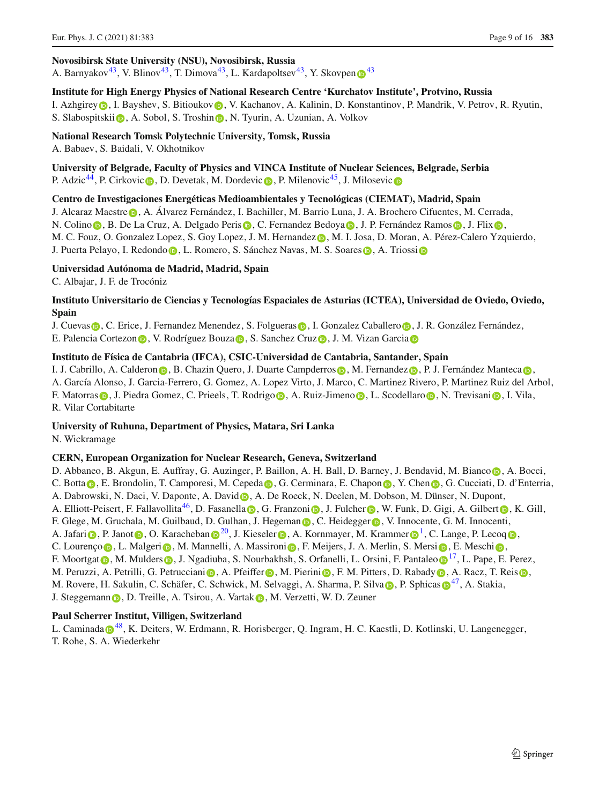#### **Novosibirsk State University (NSU), Novosibirsk, Russia**

A. Barnyakov<sup>[43](#page-14-24)</sup>, V. Blinov<sup>43</sup>, T. Dimova<sup>43</sup>, L. Kardapoltsev<sup>43</sup>, Y. Skovpen 6<sup>43</sup>

#### **Institute for High Energy Physics of National Research Centre 'Kurchatov Institute', Protvino, Russia**

I. Azhgirey **(b**[,](http://orcid.org/0000-0002-0756-463X) I. Bayshev, S. Bitioukov **(b**, V. Kachanov, A. Kalinin, D. Konstantinov, P. Mandrik, V. Petrov, R. Ryutin, S. Slabospitskii **D**[,](http://orcid.org/0000-0001-5493-1773) A. Sobol, S. Troshin **D**, N. Tyurin, A. Uzunian, A. Volkov

#### **National Research Tomsk Polytechnic University, Tomsk, Russia**

A. Babaev, S. Baidali, V. Okhotnikov

**University of Belgrade, Faculty of Physics and VINCA Institute of Nuclear Sciences, Belgrade, Serbia** P. Adzic<sup>44</sup>[,](http://orcid.org/0000-0002-5865-1952) P. Cirkovi[c](http://orcid.org/0000-0001-8486-4604) **D**, D. Devetak, M. Dordevic **D**, P. Milenovic<sup>45</sup>, J. Milosevic **D** 

### **Centro de Investigaciones Energéticas Medioambientales y Tecnológicas (CIEMAT), Madrid, Spain**

J. Alcaraz Maestr[e](http://orcid.org/0000-0003-0914-7474) , A. Álvarez Fernández, I. Bachiller, M. Barrio Luna, J. A. Brochero Cifuentes, M. Cerrada, N. C[o](http://orcid.org/0000-0002-3656-0259)lino  $\circledcirc$ [,](http://orcid.org/0000-0003-2688-8047) B. De La Cruz, A. Delgado Peris  $\circledcirc$ , C. Fernandez Bedoya  $\circledcirc$ , J. P. Fernández Ramos  $\circledcirc$ , J. Flix  $\circledcirc$ , M. C. Fouz[,](http://orcid.org/0000-0001-6436-7547) O. Gonzalez Lopez, S. Goy Lopez, J. M. Hernandez  $\circledcirc$ , M. I. Josa, D. Moran, A. Pérez-Calero Yzquierdo, J. Puerta Pelayo[,](http://orcid.org/0000-0001-9676-6059) I. Redondo **D**, L. Romero, S. Sánchez Navas, M. S. Soares **D**, A. Triossi **D** 

#### **Universidad Autónoma de Madrid, Madrid, Spain**

C. Albajar, J. F. de Trocóniz

### **Instituto Universitario de Ciencias y Tecnologías Espaciales de Asturias (ICTEA), Universidad de Oviedo, Oviedo, Spain**

J. Cuevas **D**[,](http://orcid.org/0000-0001-7191-1125) C. Erice, J. Fernandez Menendez, S. F[o](http://orcid.org/0000-0002-8087-3199)lgueras **D**, I. Gonzalez Caballero **D**, J. R. González Fernández, E. Palencia Cortezon  $\circledcirc$ [,](http://orcid.org/0000-0002-9991-195X) V. Rodríguez Bouza  $\circledcirc$ , S. Sanchez Cruz  $\circledcirc$ , J. M. Vizan Garcia  $\circledcirc$ 

#### **Instituto de Física de Cantabria (IFCA), CSIC-Universidad de Cantabria, Santander, Spain**

I. J. Cabrillo[,](http://orcid.org/0000-0003-2566-7496) A. Calderon **(b**, B. Chazin Quero, J. Duarte Campderro[s](http://orcid.org/0000-0003-0687-5214) **(b**, M. Fernandez **(b**, P. J. Fernández Manteca **(b**), A. García Alonso, J. Garcia-Ferrero, G. Gomez, A. Lopez Virto, J. Marco, C. Martinez Rivero, P. Martinez Ruiz del Arbol, F. Mat[o](http://orcid.org/0000-0002-4795-195X)rras **D**[,](http://orcid.org/0000-0002-5223-9342) J. Piedra Gomez, C. Prieels, T. Rodrigo **D**, A. Ruiz-Jimeno **D**, L. Scodellaro **D**, N. Trevisani **D**, I. Vila, R. Vilar Cortabitarte

#### **University of Ruhuna, Department of Physics, Matara, Sri Lanka**

N. Wickramage

#### **CERN, European Organization for Nuclear Research, Geneva, Switzerland**

D. Abbaneo[,](http://orcid.org/0000-0002-8336-3282) B. Akgun, E. Auffray, G. Auzinger, P. Baillon, A. H. Ball, D. Barney, J. Bendavid, M. Bianco , A. Bocci, C. Botta  $\mathbf{D}$ [,](http://orcid.org/0000-0003-2582-6469) E. Brondolin, T. Camporesi, M. Cepeda  $\mathbf{D}$ , G. Cerminara, E. Chapon  $\mathbf{D}$ , Y. Chen  $\mathbf{D}$ , G. Cucciati, D. d'Enterria, A. Dabrowski[,](http://orcid.org/0000-0001-5854-7699) N. Daci, V. Daponte, A. David **D.**, A. De Roeck, N. Deelen, M. Dobson, M. Dünser, N. Dupont, A. Elliott-Peisert[,](http://orcid.org/0000-0002-2801-520X) F. Fallavolli[t](http://orcid.org/0000-0001-7560-5790)a<sup>46</sup>, D. Fasanella **(a)**, G. Franzoni **(b)**, J. Fulcher **(b)**, W. Funk, D. Gigi, A. Gilbert **(b**), K. Gill, F. Glege[,](http://orcid.org/0000-0002-2938-2263) M. G[r](http://orcid.org/0000-0001-8821-1205)uchala, M. Guilbaud, D. Gulhan, J. Hegeman **D.**, C. Heidegger **D.**, V. Innocente, G. M. Innocenti, A. Jafari **D**[,](http://orcid.org/0000-0002-3198-0115) P. Ja[n](http://orcid.org/0000-0002-2785-3762)ot **D**, O. Karacheban  $\mathbb{D}^{20}$ , J. Kieseler **D**, A. Kornmayer, M. Krammer  $\mathbb{D}^{1}$ , C. Lange, P. Lecoq **D**, C. Lourenço **D**[,](http://orcid.org/0000-0003-4502-6151) L. Malgeri **D**, M. Mannelli, A. Massironi **D**, F. Meijers, J. A. Merlin, S. Mersi **D**, E. Meschi **D**, F. Moortgat **(b**[,](http://orcid.org/0000-0001-7199-0046) M. Mulder[s](http://orcid.org/0000-0001-7432-6634) **b**, J. Ngadiuba, S. Nourbakhsh, S. Orfanelli, L. Orsini, F. Pantaleo **17**, L. Pape, E. Perez, M. Peruzzi[,](http://orcid.org/0000-0003-1939-4268) A. Petrilli, G. Petrucciani  $\bigcirc$ , A. Pfeiffer  $\bigcirc$ , M. Pierini  $\bigcirc$ , F. M. Pitters, D. Rabad[y](http://orcid.org/0000-0001-9239-0605)  $\bigcirc$ , A. Racz, T. Rei[s](http://orcid.org/0000-0003-3703-6624)  $\bigcirc$ , M. Rovere[,](http://orcid.org/0000-0002-5725-041X) H. Sakulin, C. Schäfer, C. Schwick, M. Selvaggi, A. Sharma, P. Silva  $\bullet$ , P. Sphica[s](http://orcid.org/0000-0002-5456-5977)  $\bullet$ <sup>47</sup>, A. Stakia, J. Steggemann **D**[,](http://orcid.org/0000-0003-1507-1365) D. Treille, A. Tsirou, A. Vartak **D**, M. Verzetti, W. D. Zeuner

#### **Paul Scherrer Institut, Villigen, Switzerland**

L. Caminada  $\bullet^{48}$ , K. Deiters, W. Erdmann, R. Horisberger, O. Ingram, H. C. Kaestli, D. Kotlinski, U. Langenegger, T. Rohe, S. A. Wiederkehr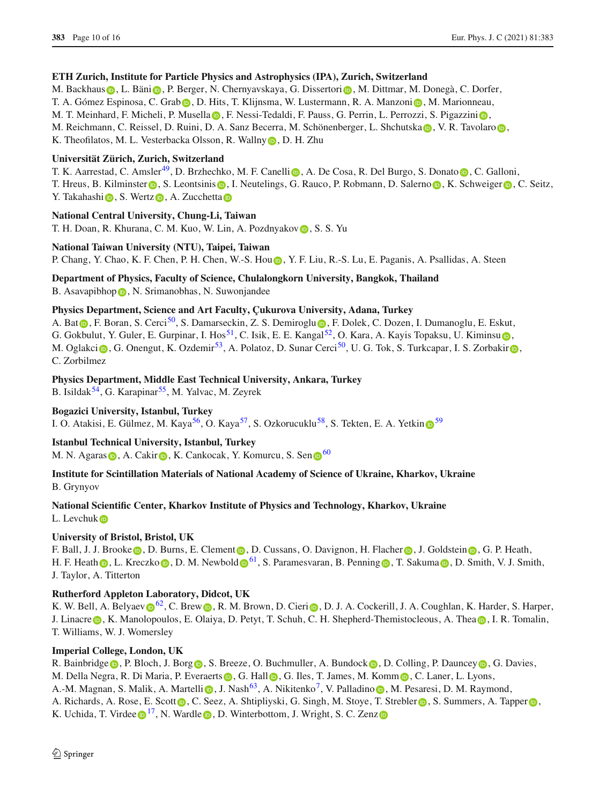### **ETH Zurich, Institute for Particle Physics and Astrophysics (IPA), Zurich, Switzerland**

M. Backhaus **D.** L. Bän[i](http://orcid.org/0000-0002-4549-2569) **D.** P. Berger[,](http://orcid.org/0000-0001-9966-8788) N. Chernyavskaya, G. Dissertori **D.** M. Dittmar, M. Donegà, C. Dorfer, T. A. Gómez Espinosa[,](http://orcid.org/0000-0002-7584-5038) C. Grab **(b**), D. Hits, T. Klijnsma, W. Lustermann, R. A. Manzoni **(b**), M. Marionneau, M. T. Meinhard[,](http://orcid.org/0000-0002-8046-4344) F. Micheli, P. Musella **, F.** Nessi-Tedaldi, F. Pauss, G. Perrin, L. Perrozzi, S. Pigazzini **(b**), M. Reichmann[,](http://orcid.org/0000-0003-2518-7521) C. Reissel, D. Ruini, D. A. Sanz Becerra, M. Schönenberger, L. Shchutska  $\circ$ , V. R. Tavolaro  $\circ$ , K. Theofilatos[,](http://orcid.org/0000-0001-8038-1613) M. L. Vesterbacka Olsson, R. Wallny D. D. H. Zhu

### **Universität Zürich, Zurich, Switzerland**

T. K. Aarrestad, C. Amsler<sup>49</sup>, D. Brzhechko, M. F. Canell[i](http://orcid.org/0000-0001-6361-2117) **(b)**[,](http://orcid.org/0000-0001-7646-4977) A. De Cosa, R. Del Burgo, S. Donato **(b)**, C. Galloni, T. Hreus[,](http://orcid.org/0000-0002-5846-3919) B. Kilmin[s](http://orcid.org/0000-0002-7561-6091)ter **O.** S. Leontsinis **O.** I. Neutelings, G. Rauco, P. Robmann, D. Salerno **O.** K. Schweiger **O.** C. Seitz, Y. Takahashi  $\bigcirc$ [,](http://orcid.org/0000-0002-8645-3670) S. Wertz  $\bigcirc$ , A. Zucchetta  $\bigcirc$ 

### **National Central University, Chung-Li, Taiwan**

T. H. Doan[,](http://orcid.org/0000-0003-3478-9081) R. Khurana, C. M. Kuo, W. Lin, A. Pozdnyakov D. S. S. Yu

### **National Taiwan University (NTU), Taipei, Taiwan**

P. Chang[,](http://orcid.org/0000-0002-4260-5118) Y. Chao, K. F. Chen, P. H. Chen, W.-S. Hou D., Y. F. Liu, R.-S. Lu, E. Paganis, A. Psallidas, A. Steen

### **Department of Physics, Faculty of Science, Chulalongkorn University, Bangkok, Thailand** B. Asavapibhop **D**[,](http://orcid.org/0000-0003-1892-7130) N. Srimanobhas, N. Suwonjandee

### **Physics Department, Science and Art Faculty, Çukurova University, Adana, Turkey**

A. Bat **D**[,](http://orcid.org/0000-0001-7977-7127) F. Boran, S. Cerci<sup>50</sup>, S. Damarseckin, Z. S. Demiroglu **D**, F. Dolek, C. Dozen, I. Dumanoglu, E. Eskut, G. Gokb[u](http://orcid.org/0000-0001-6940-7800)lut, Y. Guler, E. Gurpinar, I. Hos<sup>51</sup>, C. Isik, E. E. Kangal<sup>52</sup>, O. Kara, A. Kayis Topaksu, U. Kiminsu  $\bullet$ , M. Oglakc[i](http://orcid.org/0000-0003-1096-5087) **D**, G. Onengut, K. Ozdemi[r](http://orcid.org/0000-0002-5962-2221)<sup>53</sup>, A. Polatoz, D. Sunar Cerci<sup>50</sup>, U. G. Tok, S. Turkcapar, I. S. Zorbakir **D**. C. Zorbilmez

### **Physics Department, Middle East Technical University, Ankara, Turkey**

B. Isildak<sup>54</sup>, G. Karapinar<sup>55</sup>, M. Yalvac, M. Zeyrek

### **Bogazici University, Istanbul, Turkey**

I. O. Atakisi, E. Gülmez, M. Kaya<sup>56</sup>, O. Kaya<sup>57</sup>, S. Ozkorucuklu<sup>58</sup>, S. Tekte[n](http://orcid.org/0000-0002-9007-8260), E. A. Yetkin  $\bullet$ <sup>[59](#page-14-40)</sup>

### **Istanbul Technical University, Istanbul, Turkey**

M. N. Agaras  $\bullet$ [,](http://orcid.org/0000-0002-8627-7689) A. Cakir  $\bullet$ , K. Cankocak, Y. Komurcu, S. Sen  $\bullet$ <sup>[60](#page-14-41)</sup>

### **Institute for Scintillation Materials of National Academy of Science of Ukraine, Kharkov, Ukraine** B. Grynyov

# **National Scientific Center, Kharkov Institute of Physics and Technology, Kharkov, Ukraine** L. Levchuk D

### **University of Bristol, Bristol, UK**

F. Ball[,](http://orcid.org/0000-0003-1591-6014) J. J. Brooke **(b**, D. Burns, E. Clement **(b**, D. Cussans, O. Davignon, H. Flacher **(b**, J. Goldstein **b**, G. P. Heath, H. F. Heath **D**[,](http://orcid.org/0000-0003-3225-9861) L. Kreczko **D**, D. M. Newbold  $\bullet$ <sup>61</sup>, S. Paramesvaran, B. Penning **D**, T. Sakuma **D**, D. Smith, V. J. Smith, J. Taylor, A. Titterton

### **Rutherford Appleton Laboratory, Didcot, UK**

K. W. Bell[,](http://orcid.org/0000-0001-6595-8365) A. Belyaev  $\bigcirc^{62}$  $\bigcirc^{62}$  $\bigcirc^{62}$ , C. Brew  $\bigcirc$ , R. M. Brown, D. Cieri  $\bigcirc$ , D. J. A. Cockerill, J. A. Coughlan, K. Harder, S. Harper, J. Linacr[e](http://orcid.org/0000-0001-7555-652X) **(b**, K. M[a](http://orcid.org/0000-0002-4090-9046)nolopoulos, E. Olaiya, D. Petyt, T. Schuh, C. H. Shepherd-Themistocleous, A. Thea **(b**), I. R. Tomalin, T. Williams, W. J. Womersley

### **Imperial College, London, UK**

R. Bainbridge **(a)**[,](http://orcid.org/0000-0002-2916-6456) P. Bloch, J. Borg **(b)**, S. Breeze, O. Buchmuller, A. Bundock **(b)**, D. Colling, P. Daunce[y](http://orcid.org/0000-0001-6839-9466) **(b)**, G. Davies, M. Della Negra[,](http://orcid.org/0000-0002-6299-8385) R. Di Maria, P. Everaerts , G. Hall , G. Iles, T. Ja[m](http://orcid.org/0000-0002-7669-4294)es, M. Komm , C. Laner, L. Lyons,

A.-M. Magnan[,](http://orcid.org/0000-0002-9786-9620) S. Malik, A. Martelli  $\bullet$ , J. Nash<sup>63</sup>, A. Nikitenko<sup>7</sup>, V. Palladino  $\bullet$ , M. Pesaresi, D. M. Raymond,

A. Richards[,](http://orcid.org/0000-0003-4543-864X) A. Rose, E. Scott **D**, C. Seez, A. Shtipliyski, G. Singh, M. Stoye, T. Strebler **D**, S. Summers, A. Tapper **D**,

K. Uchida, T. Vird[e](http://orcid.org/0000-0001-7429-2198)e  $\bigcirc$  [17,](#page-13-16) N. Wardle  $\bigcirc$ [,](http://orcid.org/0000-0003-1344-3356) D. Winterbottom, J. Wright, S. C. Zenz $\bigcirc$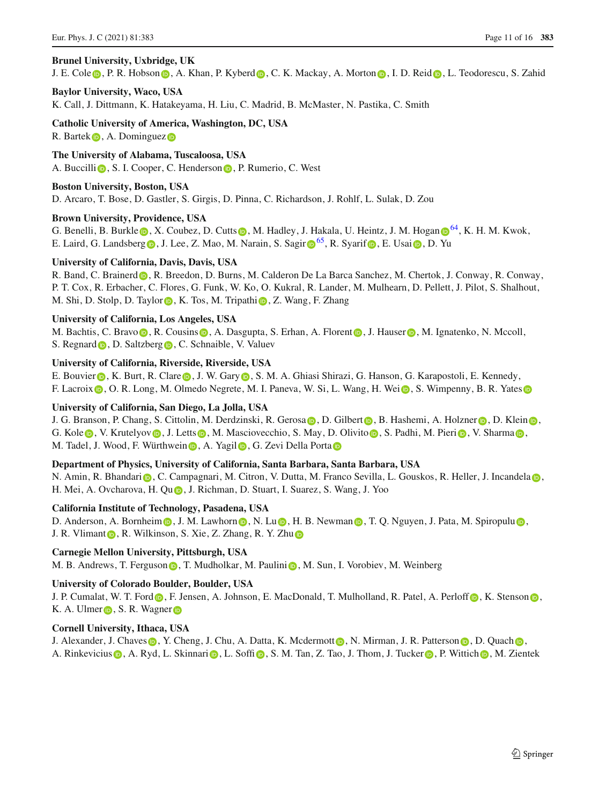#### **Brunel University, Uxbridge, UK**

J. E. Cole **D**[,](http://orcid.org/0000-0002-9235-779X) P. R. Hobso[n](http://orcid.org/0000-0002-5645-5253) **D**, A. Khan, P. Kyberd **D**, C. K. Mackay, A. Morton **D**, I. D. Reid **D**, L. Teodorescu, S. Zahid

#### **Baylor University, Waco, USA**

K. Call, J. Dittmann, K. Hatakeyama, H. Liu, C. Madrid, B. McMaster, N. Pastika, C. Smith

# **Catholic University of America, Washington, DC, USA**

R. Bartek  $\bullet$ [,](http://orcid.org/0000-0002-1686-2882) A. Domingue[z](http://orcid.org/0000-0002-7420-5493)  $\bullet$ 

#### **The University of Alabama, Tuscaloosa, USA**

A. Buccilli **D**[,](http://orcid.org/0000-0002-6986-9404) S. I. Cooper, C. Henderson **D**, P. Rumerio, C. West

#### **Boston University, Boston, USA**

D. Arcaro, T. Bose, D. Gastler, S. Girgis, D. Pinna, C. Richardson, J. Rohlf, L. Sulak, D. Zou

#### **Brown University, Providence, USA**

G. Benelli[,](http://orcid.org/0000-0003-1041-7099) B. Burkle , X. Coubez, D. Cutts , M. Hadley, J. Hakala, U. Hei[n](http://orcid.org/0000-0002-8604-3452)tz, J. M. Hogan  $\bigcirc^{64}$ , K. H. M. Kwok, E. Laird[,](http://orcid.org/0000-0001-9323-2107) G. Landsberg  $\circledcirc$ , J. Lee, Z. Mao, M. Narain, S. Sagir  $\circledcirc^{65}$ , R. Syari[f](http://orcid.org/0000-0002-3414-266X)  $\circledcirc$ , E. Usai  $\circledcirc$ , D. Yu

#### **University of California, Davis, Davis, USA**

R. Band[,](http://orcid.org/0000-0002-9552-1006) C. Brainerd **D**, R. Breedon, D. Burns, M. Calderon De La Barca Sanchez, M. Chertok, J. Conway, R. Conway, P. T. Cox, R. Erbacher, C. Flores, G. Funk, W. Ko, O. Kukral, R. Lander, M. Mulhearn, D. Pellett, J. Pilot, S. Shalhout, M. Shi, D. Stolp, D. Taylo[r](http://orcid.org/0000-0002-4274-3983) **D**[,](http://orcid.org/0000-0001-9892-5105) K. Tos, M. Tripathi **D**, Z. Wang, F. Zhang

#### **University of California, Los Angeles, USA**

M. Bachtis[,](http://orcid.org/0000-0002-9781-4873) C. Bravo , R. Cousins **(b)**, A. Dasgupta, S. Erhan, A. Florent **(b)**, J. Hauser **(b)**, M. Ignatenko, N. Mccoll, S. Regnard **D**[,](http://orcid.org/0000-0003-0658-9146) D. Saltzberg **D**, C. Schnaible, V. Valuev

#### **University of California, Riverside, Riverside, USA**

E. Bouvi[e](http://orcid.org/0000-0003-3293-5305)r **D**[,](http://orcid.org/0000-0003-0175-5731) K. Burt, R. Clare **D**, J. W. Gary **O**, S. M. A. Ghiasi Shirazi, G. Hanson, G. Karapostoli, E. Kennedy, F. Lacro[i](http://orcid.org/0000-0002-6021-8189)x **O**[,](http://orcid.org/0000-0002-4304-8843) O. R. Long, M. Olmedo Negrete, M. I. Paneva, W. Si, L. Wang, H. Wei **O**, S. Wimpenny, B. R. Yate[s](http://orcid.org/0000-0001-7366-1318) **O** 

#### **University of California, San Diego, La Jolla, USA**

J. G. Branson[,](http://orcid.org/0000-0001-9143-5162) P. Chang, S. Cittolin, M. Derdzinski, R. Gerosa **(b)**, D. Gilbert **(b)**, B. Hashemi, A. Holzner **(b)**, D. Klein **(b)**, G. K[o](http://orcid.org/0000-0002-1021-2774)le  $\circ$ [,](http://orcid.org/0000-0003-1736-8795) V. Krutelyov  $\circ$ , J. Letts  $\circ$ , M. Masciovecchio, S. May, D. Olivito  $\circ$ , S. Padhi, M. Pieri  $\circ$ , V. Sharma  $\circ$ , M. Tadel[,](http://orcid.org/0000-0002-6108-4004) J. Wood, F. Würthwein **D**, A. Y[a](http://orcid.org/0000-0003-0495-6061)gil **D**, G. Zevi Della Porta **D** 

#### **Department of Physics, University of California, Santa Barbara, Santa Barbara, USA**

N. Amin[,](http://orcid.org/0000-0001-9850-2030) R. Bhandari **(b**, C. Campagnari, M. Citron, V. Dutta, M. Franco Sevilla, L. Gouskos, R. Heller, J. Incandela **(b**), H. Mei[,](http://orcid.org/0000-0002-0250-8655) A. Ovcharova, H. Qu<sub>m</sub>, J. Richman, D. Stuart, I. Suarez, S. Wang, J. Yoo

#### **California Institute of Technology, Pasadena, USA**

D. Anderson, A. Bornhei[m](http://orcid.org/0000-0002-0128-0871)  $\circledcirc$ , J. M. Lawhor[n](http://orcid.org/0000-0002-8597-9259)  $\circledcirc$ [,](http://orcid.org/0000-0001-8172-7081) N. Lu  $\circledcirc$ , H. B. Newman  $\circledcirc$ , T. Q. Nguyen, J. Pata, M. Spiropulu  $\circledcirc$ , J. R. Vlimant  $\bigcirc$ [,](http://orcid.org/0000-0002-9705-101X) R. Wilkinson, S. Xie, Z. Zhang, R. Y. Zhu  $\bigcirc$ 

#### **Carnegie Mellon University, Pittsburgh, USA**

M. B. Andrews[,](http://orcid.org/0000-0001-5822-3731) T. Ferguson **(b**), T. Mudholkar, M. Paul[i](http://orcid.org/0000-0002-6714-5787)ni **(b**), M. Sun, I. Vorobiev, M. Weinberg

#### **University of Colorado Boulder, Boulder, USA**

J. P. Cumalat[,](http://orcid.org/0000-0003-4888-205X) W. T. Ford **D**, F. Jensen, A. Johnson, E. MacDonald, T. Mulholland, R. Patel, A. Perloff **D**, K. Stenson **D**, K. A. Ulme[r](http://orcid.org/0000-0002-9269-5772) **D**[,](http://orcid.org/0000-0001-6875-9177) S. R. Wagner **D** 

#### **Cornell University, Ithaca, USA**

J. Alexander[,](http://orcid.org/0000-0002-3815-3649) J. C[h](http://orcid.org/0000-0002-1622-0134)aves  $\odot$ , Y. Cheng, J. Chu, A. Datta, K. Mcdermott  $\odot$ , N. Mirman, J. R. Patterson  $\odot$ , D. Quach  $\odot$ , A. Rinkeviciu[s](http://orcid.org/0000-0002-7510-255X) **(b**[,](http://orcid.org/0000-0002-7401-2181) A. Ryd, L. Skinnari **(b**, L. Soffi **o**, S. M. Tan, Z. Tao, J. Thom, J. Tucker **o**, P. Wittich **o**, M. Zientek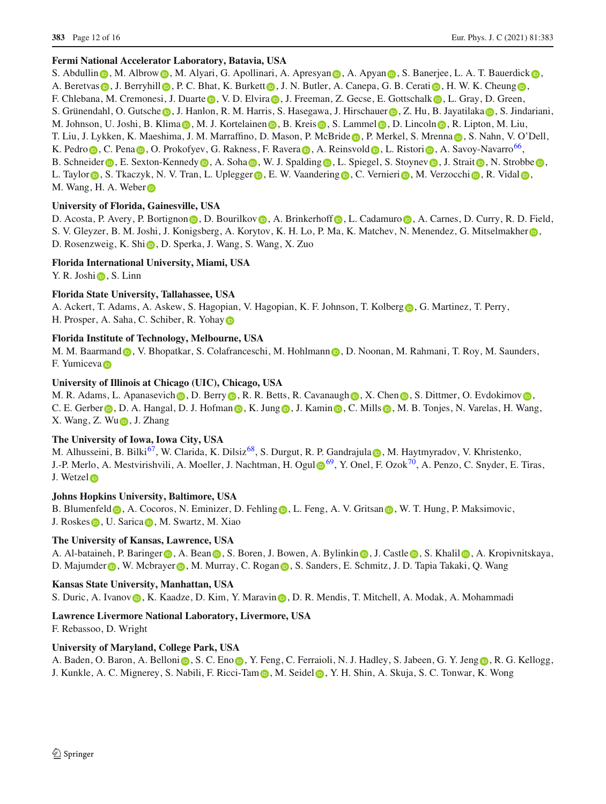### **Fermi National Accelerator Laboratory, Batavia, USA**

S. Abdullin **(b**[,](http://orcid.org/0000-0002-7170-9012) M. Albro[w](http://orcid.org/0000-0001-7329-4925) **in**, M. Alyari, G. Apollinari, A. Apresyan **(b**, A. Apyan **in**, S. Banerjee, L. A. T. Bauerdick **(b**, A. Beretvas **(b**[,](http://orcid.org/0000-0001-6389-9357) J. Berryh[i](http://orcid.org/0000-0003-3548-0262)ll **ig**, P. C. Bhat, K. Burkett **ig**, J. N. Butler, A. Canepa, G. B. Cerati **p**, H. W. K. Cheung **p**, F. Chl[e](http://orcid.org/0000-0002-5076-7096)bana[,](http://orcid.org/0000-0002-7549-5875) M. Cremonesi, J. Duarte **D.**, V. D. Elvira **D.**, J. Freeman, Z. Gecse, E. Gottschalk **D.**, L. Gray, D. Green, S. Grün[e](http://orcid.org/0000-0002-8015-9622)ndahl[,](http://orcid.org/0000-0002-8244-0805) O. Gutsche **D**, J. H[a](http://orcid.org/0000-0001-7912-5612)nlon, R. M. Harris, S. Hasegawa, J. Hirschauer **D**, Z. Hu, B. Jayatilaka **D**, S. Jindariani, M. Johnson[,](http://orcid.org/0000-0002-0599-7407) U. Joshi, B. K[l](http://orcid.org/0000-0003-0027-635X)ima , M. J. Kortelainen , B. Kreis , S. Lammel , D. Lincoln , R. Lipton, M. Liu, T. Liu[,](http://orcid.org/0000-0001-8731-160X) J. Lykken, K. Maeshima, J. M. Marraffino, D. Mason, P. McBride **(p**, P. Merkel, S. Mrenna **(p**, S. Nahn, V. O'Dell, K. Pedr[o](http://orcid.org/0000-0003-2260-9151)  $\bullet$ [,](http://orcid.org/0000-0003-1950-2492) C. Pena  $\bullet$ , O. Prokofyev, G. Rakness, F. Ravera  $\bullet$ , A. Reinsvold  $\bullet$ , L. Ristori  $\bullet$ , A. Savoy-Navarro<sup>66</sup>, B. Schneider  $\circledcirc$ [,](http://orcid.org/0000-0001-8835-8282) E. Sexton-Kennedy  $\circledcirc$ , A. Soha  $\circledcirc$ , W. J. Spaldin[g](http://orcid.org/0000-0002-7274-9390)  $\circledcirc$ , L. Spiegel, S. Stoynev  $\circledcirc$ , J. Strait  $\circledcirc$ , N. Strobbe  $\circledcirc$ , L. Taylor **(b**[,](http://orcid.org/0000-0002-7705-2517) S. Tkaczyk, N. V. Tran, L. Uplegger  $\mathbf{p}$ , E. W. Vaander[i](http://orcid.org/0000-0001-5178-9468)ng  $\mathbf{p}$ , C. Vernieri  $\mathbf{p}$ , M. Verzocchi  $\mathbf{p}$ , R. Vidal  $\mathbf{p}$ , M. Wang, H. A. Webe[r](http://orcid.org/0000-0002-5074-0539)

### **University of Florida, Gainesville, USA**

D. Acosta[,](http://orcid.org/0000-0002-4853-0401) P. Avery, P. B[o](http://orcid.org/0000-0001-8789-610X)rtignon **(b**, D. Bourilkov **(b**, A. Brinkerhoff **b**, L. Cadamuro **b**, A. Carnes, D. Curry, R. D. Field, S. V. Gleyze[r](http://orcid.org/0000-0001-5745-3658), B. M. Joshi, J. Konigsberg, A. Korytov, K. H. Lo, P. Ma, K. Matchev, N. Menendez, G. Mitselmakher  $\circ$ , D. Rosenzweig[,](http://orcid.org/0000-0002-2475-0055) K. Shi , D. Sperka, J. Wang, S. Wang, X. Zuo

### **Florida International University, Miami, USA**

Y. R. Joshi<sub>D</sub>[,](http://orcid.org/0000-0002-0651-1878) S. Linn

### **Florida State University, Tallahassee, USA**

A. Ackert[,](http://orcid.org/0000-0002-0211-6109) T. Adams, A. Askew, S. Hagopian, V. Hagopian, K. F. Johnson, T. Kolberg **(b)**, G. Martinez, T. Perry, H. Prosper, A. Saha, C. Schiber, R. Yohay

### **Florida Institute of Technology, Melbourne, USA**

M. M. Baarmand **D**[,](http://orcid.org/0000-0003-4578-9319) V. Bhopatkar, S. Colafranceschi, M. Hohlmann **D**, D. Noonan, M. Rahmani, T. Roy, M. Saunders, F. Yumicev[a](http://orcid.org/0000-0003-2436-5074)<sup>D</sup>

### **University of Illinois at Chicago (UIC), Chicago, USA**

M. R. Adams, L. Apanasevic[h](http://orcid.org/0000-0002-5685-5871)  $\circled{D}$ [,](http://orcid.org/0000-0002-1250-8931) D. Berry  $\circled{D}$ , R. R. Betts, R. Cavanaugh  $\circled{D}$ , X. Chen  $\circled{D}$ , S. Dittmer, O. Evdokimov  $\circled{D}$ , C. E. Ge[r](http://orcid.org/0000-0002-8116-9021)ber **(D**[,](http://orcid.org/0000-0001-8035-4818) D. A. Hangal, D. J. Hofman **(D**, K. Jung **(D**, J. Kamin **(D**, C. Mills **(D**, M. B. Tonjes, N. Varelas, H. Wang, X. Wang[,](http://orcid.org/0000-0003-2165-9501) Z. Wu $\bigcirc$ , J. Zhang

### **The University of Iowa, Iowa City, USA**

M. Alhusseini[,](http://orcid.org/0000-0001-9053-3182) B. Bilki<sup>67</sup>, W. Clarida, K. Dilsiz<sup>68</sup>, S. Durgut, R. P. Gandrajula , M. Haytmyradov, V. Khristenko, J.-P. Merlo, A. Mestvirishvili, A. Moeller, J. Nachtman, H. Ogul  $\bigcirc^{69}$ , Y. Onel, F. Ozok<sup>70</sup>, A. Penzo, C. Snyder, E. Tiras, J. Wetze[l](http://orcid.org/0000-0003-4687-7302)

### **Johns Hopkins University, Baltimore, USA**

B. Blumenfeld  $\circled{B}$ [,](http://orcid.org/0000-0002-3545-7970) A. Cocoros, N. Eminizer, D. Fehling  $\circled{D}$ , L. Feng, A. V. Gritsan  $\circled{D}$ , W. T. Hung, P. Maksimovic, J. Roskes **D**[,](http://orcid.org/0000-0002-1557-4424) U. Sarica **D**, M. Swartz, M. Xiao

### **The University of Kansas, Lawrence, USA**

A. Al-bataineh[,](http://orcid.org/0000-0001-8630-8046) P. Baringer **(b**, A. Bean **o**, S. Boren, J. Bowen, A. Bylinkin **o**, J. Castle **o**, S. Khalil **o**, A. Kropivnitskaya, D. Majumde[r](http://orcid.org/0000-0002-0238-9676) **(b)**[,](http://orcid.org/0000-0002-4166-4503) W. Mcbrayer **(b)**, M. Murray, C. Rogan **(b)**, S. Sanders, E. Schmitz, J. D. Tapia Takaki, Q. Wang

**Kansas State University, Manhattan, USA**

S. Duric[,](http://orcid.org/0000-0002-9449-0666) A. Ivanov **(b)**, K. Kaadze, D. Kim, Y. Maravin **(b)**, D. R. Mendis, T. Mitchell, A. Modak, A. Mohammadi

### **Lawrence Livermore National Laboratory, Livermore, USA**

F. Rebassoo, D. Wright

### **University of Maryland, College Park, USA**

A. Baden[,](http://orcid.org/0000-0001-8683-0301) O. Baron, A. Belloni **(D)**, S. C. Eno **(D)**, Y. Feng, C. Ferraioli, N. J. Hadley, S. Jabeen, G. Y. Jeng **(D)**, R. G. Kellogg, J. Kunkle[,](http://orcid.org/0000-0003-3550-6151) A. C. Mignerey, S. Nabili, F. Ricci-Tam **D**, M. Seidel **D**, Y. H. Shin, A. Skuja, S. C. Tonwar, K. Wong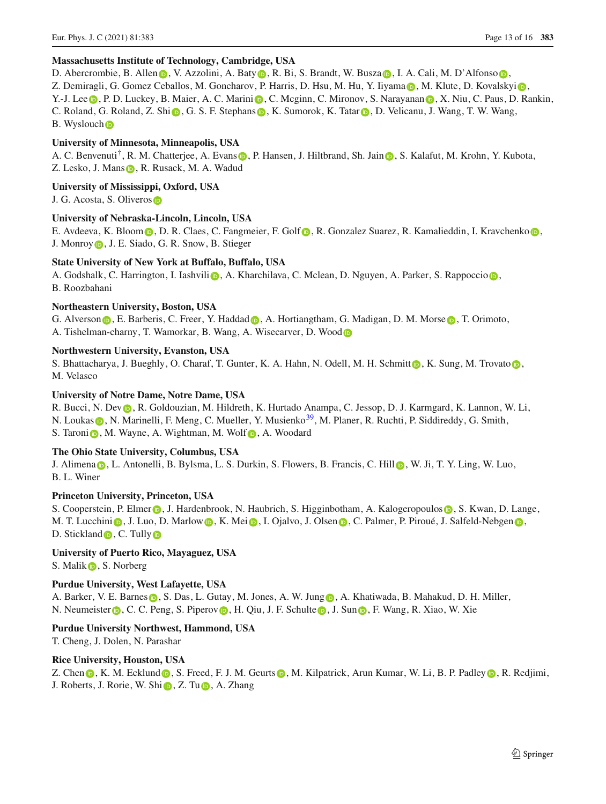#### **Massachusetts Institute of Technology, Cambridge, USA**

D. Abercrombie[,](http://orcid.org/0000-0002-7409-7904) B. Allen **(b**, V. Azzolini, A. Baty **(b**, R. Bi, S. Brandt, W. Busza **(b**, I. A. Cali, M. D'Alfonso **(b**), Z. Demiragli[,](http://orcid.org/0000-0002-6923-293X) G. Gomez Ceballos, M. Goncharov, P. Harris, D. Hsu, M. Hu, Y. Iiyama , M. Klute, D. Kovalskyi **p.** Y.-J. L[e](http://orcid.org/0000-0003-2593-7767)e **D**[,](http://orcid.org/0000-0003-2351-0487) P. D. Luckey, B. Maier, A. C. Mari[n](http://orcid.org/0000-0003-2723-3560)i **D.** C. Mcginn, C. Mironov, S. Narayanan **D**, X. Niu, C. Paus, D. Rankin, C. Roland[,](http://orcid.org/0000-0002-6448-0168) G. Roland, Z. Shi  $\circledcirc$ , G. S. F. Stephans  $\circledcirc$ , K. Sumorok, K. Tatar  $\circledcirc$ , D. Velicanu, J. Wang, T. W. Wang, B. Wyslouc[h](http://orcid.org/0000-0003-3681-0649)<sub>D</sub>

#### **University of Minnesota, Minneapolis, USA**

A. C. Benvenuti<sup>†</sup>[,](http://orcid.org/0000-0002-7427-1079) R. M. Chatterjee, A. Eva[n](http://orcid.org/0000-0003-1770-5309)s **D**, P. Hansen, J. Hiltbrand, Sh. Jain **D**, S. Kalafut, M. Krohn, Y. Kubota, Z. Lesko[,](http://orcid.org/0000-0003-2840-1087) J. Mans **D**, R. Rusack, M. A. Wadud

#### **University of Mississippi, Oxford, USA**

J. G. Acosta, S. Oliveros D

#### **University of Nebraska-Lincoln, Lincoln, USA**

E. Avdeeva[,](http://orcid.org/0000-0003-0068-0395) K. Bloom **D**, D. R. Claes, C. Fangmeier, F. Golf **D**, R. Gonzalez Suarez, R. Kamalieddin, I. Kravchenko **D**, J. Monroy **D**[,](http://orcid.org/0000-0002-7394-4710) J. E. Siado, G. R. Snow, B. Stieger

#### **State University of New York at Buffalo, Buffalo, USA**

A. Godshalk[,](http://orcid.org/0000-0002-5449-2560) C. Harrington, I. Iashvili **(b)**, A. Kharchilava, C. Mclean, D. Nguyen, A. Parker, S. Rappoccio **(b)**, B. Roozbahani

#### **Northeastern University, Boston, USA**

G. Alv[e](http://orcid.org/0000-0003-3163-2169)rson  $\circledcirc$  $\circledcirc$  $\circledcirc$ [,](http://orcid.org/0000-0001-6651-1178) E. Barberis, C. Freer, Y. Haddad  $\circledcirc$ , A. Hortiangtham, G. Madigan, D. M. Morse  $\circledcirc$ , T. Orimoto, A. Tishelman-charny, T. Wamorkar, B. Wang, A. Wisecarver, D. Wood

#### **Northwestern University, Evanston, USA**

S. Bhattacharya[,](http://orcid.org/0000-0002-4099-5968) J. Bueghly, O. Charaf, T. Gunter, K. A. Hahn, N. Odell, M. H. Schmitt  $\bigcirc$ , K. Sung, M. Trovato  $\bigcirc$ , M. Velasco

#### **University of Notre Dame, Notre Dame, USA**

R. Bucci[,](http://orcid.org/0000-0003-2792-0491) N. Dev **D**, R. Goldouzian, M. Hildreth, K. Hurtado Anampa, C. Jessop, D. J. Karmgard, K. Lannon, W. Li, N. Loukas **(p**[,](http://orcid.org/0000-0003-0049-6918) N. Marinelli, F. Meng, C. Mueller, Y. Musienko<sup>39</sup>, M. Planer, R. Ruchti, P. Siddireddy, G. Smith, S. Taron[i](http://orcid.org/0000-0001-5778-3833) **D**, M. Wayne, A. Wightman, M. Wol[f](http://orcid.org/0000-0002-6997-6330) **D**, A. Woodard

#### **The Ohio State University, Columbus, USA**

J. Alimena [,](http://orcid.org/0000-0003-0059-0779) L. Antonelli, B. Bylsma, L. S. Durkin, S. Flowers, B. Francis, C. Hill , W. Ji, T. Y. Ling, W. Luo, B. L. Winer

#### **Princeton University, Princeton, USA**

S. Cooperstein[,](http://orcid.org/0000-0001-6830-3356) P. Elmer **D**, J. Hardenbrook, N. Haubrich, S. Higginbotham, A. Kalogeropoulo[s](http://orcid.org/0000-0003-3444-0314) **D**, S. Kwan, D. Lange, M. T. Lucchini **D**[,](http://orcid.org/0000-0003-3879-5622) J. Luo, D. Marlow **D**, K. Mei **O**, I. Ojalvo, J. Olsen **D**, C. Palmer, P. Piroué, J. Salfeld-Nebgen **D**, D. Stickland  $\bullet$ [,](http://orcid.org/0000-0003-4702-8820) C. Tull[y](http://orcid.org/0000-0001-6771-2174)  $\bullet$ 

### **University of Puerto Rico, Mayaguez, USA**

S. Mali[k](http://orcid.org/0000-0002-6356-2655) **D**, S. Norberg

### **Purdue University, West Lafayette, USA**

A. Barker, V. E. Barne[s](http://orcid.org/0000-0001-6939-3445) **(b**[,](http://orcid.org/0000-0003-3068-3212) S. Das, L. Gutay, M. Jones, A. W. Jung **(b**, A. Khatiwada, B. Mahakud, D. H. Miller, N. Neumeister **(b**[,](http://orcid.org/0000-0001-7568-8477) C. C. Peng, S. Piperov **(b**, H. Qiu, J. F. Schulte **[b**, J. Sun **[b**, F. Wang, R. Xiao, W. Xie

#### **Purdue University Northwest, Hammond, USA**

T. Cheng, J. Dolen, N. Parashar

#### **Rice University, Houston, USA**

Z. Chen **O**[,](http://orcid.org/0000-0002-3572-5701) K. M. Ecklund **O**, S. Freed, F. J. M. Geurts **O**, M. Kilpatrick, Arun Kumar, W. Li, B. P. Padley **O**, R. Redjimi, J. Roberts[,](http://orcid.org/0000-0001-8784-5134) J. Rorie, W. Shi **D**, Z. Tu **D**, A. Zhang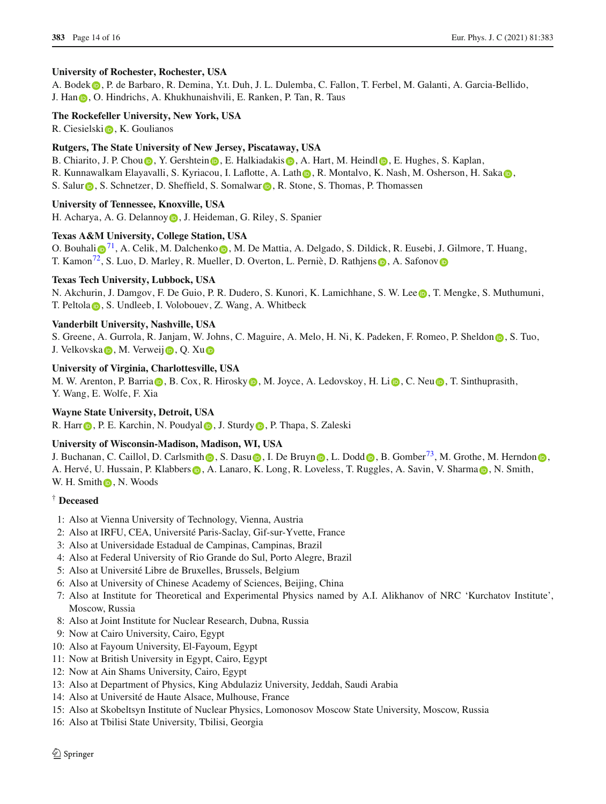### **University of Rochester, Rochester, USA**

A. Bodek **D.** P. de Barbaro[,](http://orcid.org/0000-0003-0409-0341) R. Demina, Y.t. Duh, J. L. Dulemba, C. Fallon, T. Ferbel, M. Galanti, A. Garcia-Bellido, J. Ha[n](http://orcid.org/0000-0002-3239-4281) **D**, O. Hindrichs, A. Khukhunaishvili, E. Ranken, P. Tan, R. Taus

# **The Rockefeller University, New York, USA**

R. Ciesielski **D**[,](http://orcid.org/0000-0001-9422-9129) K. Goulianos

### **Rutgers, The State University of New Jersey, Piscataway, USA**

B. Chiarito[,](http://orcid.org/0000-0002-2831-463X) J. P. Chou , Y. Gershtein , E. Halkiadakis , A. Hart, M. Heindl , E. Hughes, S. Kaplan,

R. Kunnawalkam Elayavalli, S. Kyriacou, I. Laflotte, A. Lat[h](http://orcid.org/0000-0003-0228-9760) **D**[,](http://orcid.org/0000-0001-7616-2573) R. Montalvo, K. Nash, M. Osherson, H. Saka **D**,

S. Salu[r](http://orcid.org/0000-0002-8856-7401) **D**[,](http://orcid.org/0000-0002-4995-9285) S. Schnetzer, D. Sheffield, S. Somalwar **D**, R. Stone, S. Thomas, P. Thomassen

### **University of Tennessee, Knoxville, USA**

H. Achar[y](http://orcid.org/0000-0003-1252-6213)a, A. G. Delannoy **D**, J. Heideman, G. Riley, S. Spanier

### **Texas A&M University, College Station, USA**

O. B[o](http://orcid.org/0000-0002-0137-136X)uhali  $\mathbb{O}^{71}$ , A. Celik, M. Dalchenko  $\mathbb{O}$ , M. De Mattia, A. Delgado, S. Dildick, R. Eusebi, J. Gilmore, T. Huang, T. Kamon<[s](http://orcid.org/0000-0002-8420-1488)up>72</sup>, S. Luo, D. Marley, R. Mueller, D. O[v](http://orcid.org/0000-0001-9497-5471)erton, L. Perniè, D. Rathjens  $\bigcirc$ , A. Safonov  $\bigcirc$ 

### **Texas Tech University, Lubbock, USA**

N. Akchurin, J. Damgov, F. D[e](http://orcid.org/0000-0002-3388-8339) Guio, P. R. Dudero, S. Kunori, K. Lamichhane, S. W. Lee **D**., T. Mengke, S. Muthumuni, T. Peltola [,](http://orcid.org/0000-0002-4732-4008) S. Undleeb, I. Volobouev, Z. Wang, A. Whitbeck

### **Vanderbilt University, Nashville, USA**

S. Greene[,](http://orcid.org/0000-0003-1550-5223) A. Gurrola, R. Janjam, W. Johns, C. Maguire, A. Melo, H. Ni, K. Padeken, F. Romeo, P. Sheldon (D, S. Tuo, J. Velkovska $\bullet$  $\bullet$  $\bullet$ [,](http://orcid.org/0000-0003-1423-5241) M. Verwei[j](http://orcid.org/0000-0002-1504-3420) $\bullet$ , Q. Xu $\bullet$ 

### **University of Virginia, Charlottesville, USA**

M. W. Arenton[,](http://orcid.org/0000-0003-3644-8627) P. Barria **(b**, B. Cox, R. Hirosky **b**, M. Joyce, A. Ledovskoy, H. Li **b**, C. Neu **b**, T. Sinthuprasith, Y. Wang, E. Wolfe, F. Xia

### **Wayne State University, Detroit, USA**

R. Harr **D**[,](http://orcid.org/0000-0002-4484-9431) P. E. Karchin, N. Poudya[l](http://orcid.org/0000-0003-4278-3464) **D**, J. Sturdy **D**, P. Thapa, S. Zaleski

### **University of Wisconsin-Madison, Madison, WI, USA**

J. Buchanan[,](http://orcid.org/0000-0003-3043-1090) C. Caillol, D. Carlsmith  $\circledcirc$ , S. Das[u](http://orcid.org/0000-0001-5993-9045)  $\circledcirc$ , I. De Bruyn  $\circledcirc$ , L. Dodd  $\circledcirc$ , B. Gomber<sup>73</sup>, M. Grothe, M. Herndon  $\circledcirc$ , A. Hervé[,](http://orcid.org/0000-0003-1287-1471) U. Hussain, P. Klabbers **(D**, A. Lanaro, K. Long, R. Loveless, T. Ruggles, A. Savin, V. Sharma **(D**, N. Smith, W. H. Smit[h](http://orcid.org/0000-0003-3195-0909) **D**, N. Woods

# <span id="page-13-0"></span>† **Deceased**

- <span id="page-13-1"></span>1: Also at Vienna University of Technology, Vienna, Austria
- <span id="page-13-3"></span><span id="page-13-2"></span>2: Also at IRFU, CEA, Université Paris-Saclay, Gif-sur-Yvette, France
- <span id="page-13-4"></span>3: Also at Universidade Estadual de Campinas, Campinas, Brazil
- <span id="page-13-6"></span><span id="page-13-5"></span>4: Also at Federal University of Rio Grande do Sul, Porto Alegre, Brazil
- 5: Also at Université Libre de Bruxelles, Brussels, Belgium
- 6: Also at University of Chinese Academy of Sciences, Beijing, China
- <span id="page-13-8"></span><span id="page-13-7"></span>7: Also at Institute for Theoretical and Experimental Physics named by A.I. Alikhanov of NRC 'Kurchatov Institute', Moscow, Russia
- <span id="page-13-10"></span><span id="page-13-9"></span>8: Also at Joint Institute for Nuclear Research, Dubna, Russia
- <span id="page-13-13"></span><span id="page-13-12"></span><span id="page-13-11"></span>9: Now at Cairo University, Cairo, Egypt
- 10: Also at Fayoum University, El-Fayoum, Egypt
- 11: Now at British University in Egypt, Cairo, Egypt
- 12: Now at Ain Shams University, Cairo, Egypt
- <span id="page-13-14"></span>13: Also at Department of Physics, King Abdulaziz University, Jeddah, Saudi Arabia
- <span id="page-13-15"></span>14: Also at Université de Haute Alsace, Mulhouse, France
- <span id="page-13-16"></span>15: Also at Skobeltsyn Institute of Nuclear Physics, Lomonosov Moscow State University, Moscow, Russia
- 16: Also at Tbilisi State University, Tbilisi, Georgia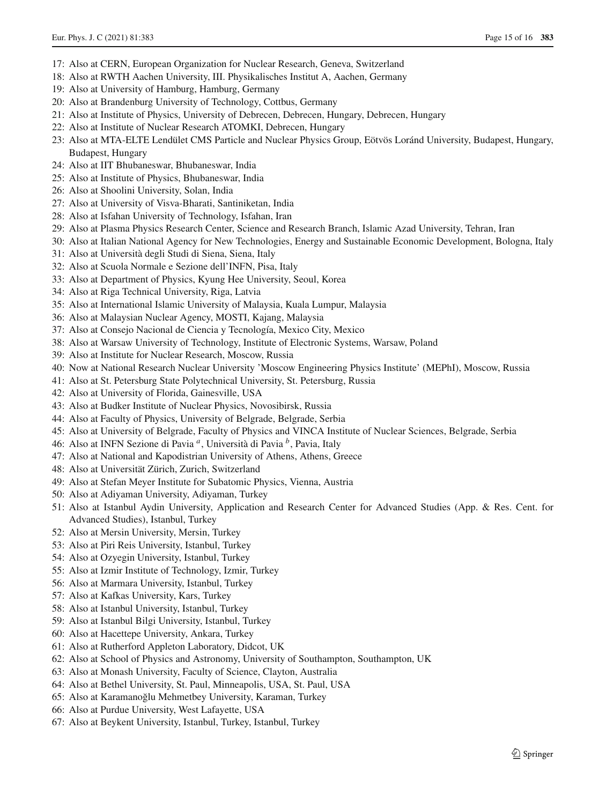- <span id="page-14-1"></span><span id="page-14-0"></span>17: Also at CERN, European Organization for Nuclear Research, Geneva, Switzerland
- <span id="page-14-3"></span><span id="page-14-2"></span>18: Also at RWTH Aachen University, III. Physikalisches Institut A, Aachen, Germany
- <span id="page-14-4"></span>19: Also at University of Hamburg, Hamburg, Germany
- 20: Also at Brandenburg University of Technology, Cottbus, Germany
- 21: Also at Institute of Physics, University of Debrecen, Debrecen, Hungary, Debrecen, Hungary
- 22: Also at Institute of Nuclear Research ATOMKI, Debrecen, Hungary
- <span id="page-14-6"></span><span id="page-14-5"></span>23: Also at MTA-ELTE Lendület CMS Particle and Nuclear Physics Group, Eötvös Loránd University, Budapest, Hungary, Budapest, Hungary
- <span id="page-14-7"></span>24: Also at IIT Bhubaneswar, Bhubaneswar, India
- <span id="page-14-8"></span>25: Also at Institute of Physics, Bhubaneswar, India
- <span id="page-14-9"></span>26: Also at Shoolini University, Solan, India
- <span id="page-14-10"></span>27: Also at University of Visva-Bharati, Santiniketan, India
- <span id="page-14-11"></span>28: Also at Isfahan University of Technology, Isfahan, Iran
- <span id="page-14-12"></span>29: Also at Plasma Physics Research Center, Science and Research Branch, Islamic Azad University, Tehran, Iran
- <span id="page-14-13"></span>30: Also at Italian National Agency for New Technologies, Energy and Sustainable Economic Development, Bologna, Italy
- <span id="page-14-14"></span>31: Also at Università degli Studi di Siena, Siena, Italy
- <span id="page-14-15"></span>32: Also at Scuola Normale e Sezione dell'INFN, Pisa, Italy
- <span id="page-14-16"></span>33: Also at Department of Physics, Kyung Hee University, Seoul, Korea
- <span id="page-14-17"></span>34: Also at Riga Technical University, Riga, Latvia
- <span id="page-14-18"></span>35: Also at International Islamic University of Malaysia, Kuala Lumpur, Malaysia
- <span id="page-14-20"></span><span id="page-14-19"></span>36: Also at Malaysian Nuclear Agency, MOSTI, Kajang, Malaysia
- 37: Also at Consejo Nacional de Ciencia y Tecnología, Mexico City, Mexico
- <span id="page-14-22"></span><span id="page-14-21"></span>38: Also at Warsaw University of Technology, Institute of Electronic Systems, Warsaw, Poland
- 39: Also at Institute for Nuclear Research, Moscow, Russia
- <span id="page-14-23"></span>40: Now at National Research Nuclear University 'Moscow Engineering Physics Institute' (MEPhI), Moscow, Russia
- <span id="page-14-24"></span>41: Also at St. Petersburg State Polytechnical University, St. Petersburg, Russia
- <span id="page-14-25"></span>42: Also at University of Florida, Gainesville, USA
- <span id="page-14-26"></span>43: Also at Budker Institute of Nuclear Physics, Novosibirsk, Russia
- <span id="page-14-27"></span>44: Also at Faculty of Physics, University of Belgrade, Belgrade, Serbia
- <span id="page-14-28"></span>45: Also at University of Belgrade, Faculty of Physics and VINCA Institute of Nuclear Sciences, Belgrade, Serbia
- <span id="page-14-29"></span>46: Also at INFN Sezione di Pavia *<sup>a</sup>*, Università di Pavia *<sup>b</sup>*, Pavia, Italy
- <span id="page-14-30"></span>47: Also at National and Kapodistrian University of Athens, Athens, Greece
- <span id="page-14-31"></span>48: Also at Universität Zürich, Zurich, Switzerland
- 49: Also at Stefan Meyer Institute for Subatomic Physics, Vienna, Austria
- <span id="page-14-32"></span>50: Also at Adiyaman University, Adiyaman, Turkey
- <span id="page-14-34"></span><span id="page-14-33"></span>51: Also at Istanbul Aydin University, Application and Research Center for Advanced Studies (App. & Res. Cent. for Advanced Studies), Istanbul, Turkey
- 52: Also at Mersin University, Mersin, Turkey
- <span id="page-14-37"></span><span id="page-14-36"></span><span id="page-14-35"></span>53: Also at Piri Reis University, Istanbul, Turkey
- 54: Also at Ozyegin University, Istanbul, Turkey
- 55: Also at Izmir Institute of Technology, Izmir, Turkey
- <span id="page-14-40"></span><span id="page-14-39"></span><span id="page-14-38"></span>56: Also at Marmara University, Istanbul, Turkey
- 57: Also at Kafkas University, Kars, Turkey
- 58: Also at Istanbul University, Istanbul, Turkey
- <span id="page-14-43"></span><span id="page-14-42"></span><span id="page-14-41"></span>59: Also at Istanbul Bilgi University, Istanbul, Turkey
- 60: Also at Hacettepe University, Ankara, Turkey
- <span id="page-14-44"></span>61: Also at Rutherford Appleton Laboratory, Didcot, UK
- <span id="page-14-45"></span>62: Also at School of Physics and Astronomy, University of Southampton, Southampton, UK
- <span id="page-14-46"></span>63: Also at Monash University, Faculty of Science, Clayton, Australia
- <span id="page-14-47"></span>64: Also at Bethel University, St. Paul, Minneapolis, USA, St. Paul, USA
- <span id="page-14-48"></span>65: Also at Karamanoğlu Mehmetbey University, Karaman, Turkey
- <span id="page-14-49"></span>66: Also at Purdue University, West Lafayette, USA
- 67: Also at Beykent University, Istanbul, Turkey, Istanbul, Turkey